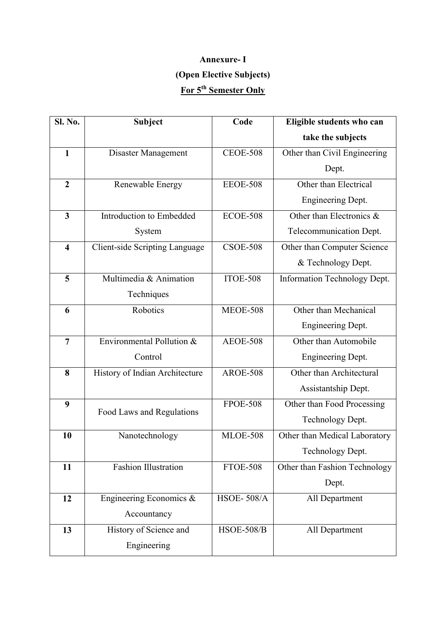# Annexure- I (Open Elective Subjects) For 5<sup>th</sup> Semester Only

| <b>Sl. No.</b>          | <b>Subject</b>                        | Code              | Eligible students who can     |
|-------------------------|---------------------------------------|-------------------|-------------------------------|
|                         |                                       |                   | take the subjects             |
| $\mathbf{1}$            | Disaster Management                   | <b>CEOE-508</b>   | Other than Civil Engineering  |
|                         |                                       |                   | Dept.                         |
| $\overline{2}$          | Renewable Energy                      | <b>EEOE-508</b>   | Other than Electrical         |
|                         |                                       |                   | <b>Engineering Dept.</b>      |
| $\overline{\mathbf{3}}$ | Introduction to Embedded              | <b>ECOE-508</b>   | Other than Electronics &      |
|                         | System                                |                   | Telecommunication Dept.       |
| $\overline{\mathbf{4}}$ | <b>Client-side Scripting Language</b> | <b>CSOE-508</b>   | Other than Computer Science   |
|                         |                                       |                   | & Technology Dept.            |
| 5                       | Multimedia & Animation                | <b>ITOE-508</b>   | Information Technology Dept.  |
|                         | Techniques                            |                   |                               |
| 6                       | Robotics                              | <b>MEOE-508</b>   | Other than Mechanical         |
|                         |                                       |                   | <b>Engineering Dept.</b>      |
| $\overline{7}$          | Environmental Pollution &             | <b>AEOE-508</b>   | Other than Automobile         |
|                         | Control                               |                   | Engineering Dept.             |
| 8                       | History of Indian Architecture        | <b>AROE-508</b>   | Other than Architectural      |
|                         |                                       |                   | Assistantship Dept.           |
| 9                       | Food Laws and Regulations             | <b>FPOE-508</b>   | Other than Food Processing    |
|                         |                                       |                   | Technology Dept.              |
| 10                      | Nanotechnology                        | <b>MLOE-508</b>   | Other than Medical Laboratory |
|                         |                                       |                   | Technology Dept.              |
| 11                      | Fashion Illustration                  | <b>FTOE-508</b>   | Other than Fashion Technology |
|                         |                                       |                   | Dept.                         |
| 12                      | Engineering Economics &               | <b>HSOE-508/A</b> | All Department                |
|                         | Accountancy                           |                   |                               |
| 13                      | History of Science and                | <b>HSOE-508/B</b> | All Department                |
|                         | Engineering                           |                   |                               |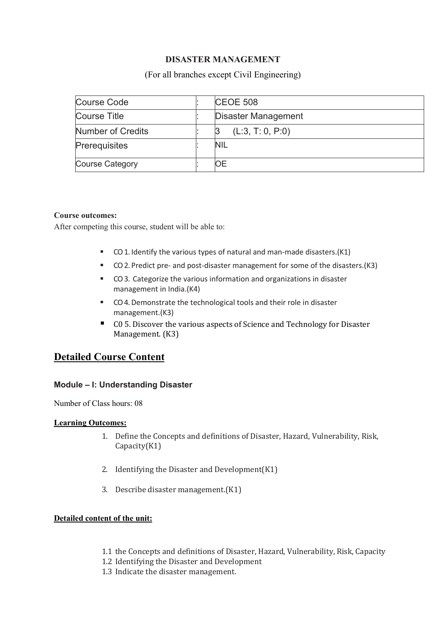# DISASTER MANAGEMENT

## (For all branches except Civil Engineering)

| Course Code            | <b>CEOE 508</b>     |
|------------------------|---------------------|
| Course Title           | Disaster Management |
| Number of Credits      | (L:3, T: 0, P:0)    |
| Prerequisites          | NIL                 |
| <b>Course Category</b> | OΕ                  |

### Course outcomes:

After competing this course, student will be able to:

- CO 1. Identify the various types of natural and man-made disasters.(K1)
- CO 2. Predict pre- and post-disaster management for some of the disasters.(K3)
- CO 3. Categorize the various information and organizations in disaster management in India.(K4)
- CO 4. Demonstrate the technological tools and their role in disaster management.(K3)
- C0 5. Discover the various aspects of Science and Technology for Disaster Management. (K3)

# Detailed Course Content

## Module – I: Understanding Disaster

Number of Class hours: 08

## Learning Outcomes:

- 1. Define the Concepts and definitions of Disaster, Hazard, Vulnerability, Risk, Capacity(K1)
- 2. Identifying the Disaster and Development(K1)
- 3. Describe disaster management.(K1)

## Detailed content of the unit:

- 1.1 the Concepts and definitions of Disaster, Hazard, Vulnerability, Risk, Capacity
- 1.2 Identifying the Disaster and Development
- 1.3 Indicate the disaster management.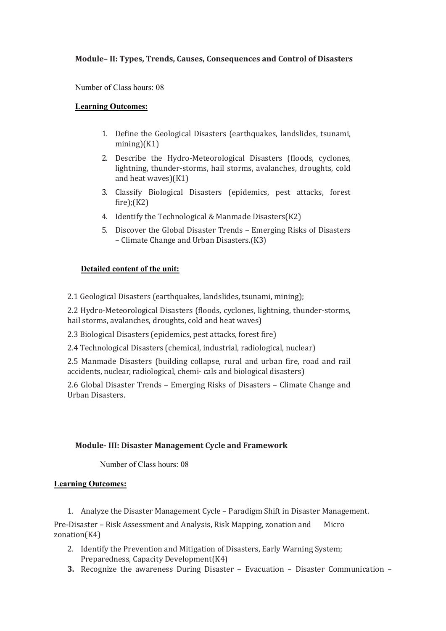## Module– II: Types, Trends, Causes, Consequences and Control of Disasters

Number of Class hours: 08

#### Learning Outcomes:

- 1. Define the Geological Disasters (earthquakes, landslides, tsunami,  $mining(K1)$
- 2. Describe the Hydro-Meteorological Disasters (floods, cyclones, lightning, thunder-storms, hail storms, avalanches, droughts, cold and heat waves)(K1)
- 3. Classify Biological Disasters (epidemics, pest attacks, forest fire);(K2)
- 4. Identify the Technological & Manmade Disasters(K2)
- 5. Discover the Global Disaster Trends Emerging Risks of Disasters – Climate Change and Urban Disasters.(K3)

### Detailed content of the unit:

2.1 Geological Disasters (earthquakes, landslides, tsunami, mining);

2.2 Hydro-Meteorological Disasters (floods, cyclones, lightning, thunder-storms, hail storms, avalanches, droughts, cold and heat waves)

2.3 Biological Disasters (epidemics, pest attacks, forest fire)

2.4 Technological Disasters (chemical, industrial, radiological, nuclear)

2.5 Manmade Disasters (building collapse, rural and urban fire, road and rail accidents, nuclear, radiological, chemi- cals and biological disasters)

2.6 Global Disaster Trends – Emerging Risks of Disasters – Climate Change and Urban Disasters.

### Module- III: Disaster Management Cycle and Framework

Number of Class hours: 08

#### Learning Outcomes:

1. Analyze the Disaster Management Cycle – Paradigm Shift in Disaster Management.

Pre-Disaster – Risk Assessment and Analysis, Risk Mapping, zonation and Micro zonation(K4)

- 2. Identify the Prevention and Mitigation of Disasters, Early Warning System; Preparedness, Capacity Development(K4)
- 3. Recognize the awareness During Disaster Evacuation Disaster Communication –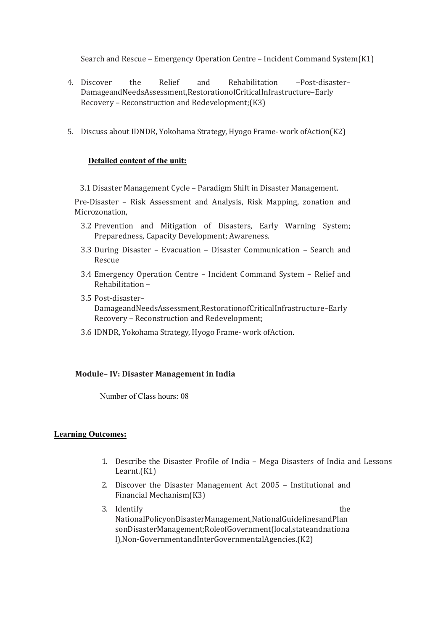Search and Rescue – Emergency Operation Centre – Incident Command System(K1)

- 4. Discover the Relief and Rehabilitation –Post-disaster– DamageandNeedsAssessment,RestorationofCriticalInfrastructure–Early Recovery – Reconstruction and Redevelopment;(K3)
- 5. Discuss about IDNDR, Yokohama Strategy, Hyogo Frame- work ofAction(K2)

#### Detailed content of the unit:

3.1 Disaster Management Cycle – Paradigm Shift in Disaster Management.

Pre-Disaster – Risk Assessment and Analysis, Risk Mapping, zonation and Microzonation,

- 3.2 Prevention and Mitigation of Disasters, Early Warning System; Preparedness, Capacity Development; Awareness.
- 3.3 During Disaster Evacuation Disaster Communication Search and Rescue
- 3.4 Emergency Operation Centre Incident Command System Relief and Rehabilitation –
- 3.5 Post-disaster– DamageandNeedsAssessment,RestorationofCriticalInfrastructure–Early Recovery – Reconstruction and Redevelopment;
- 3.6 IDNDR, Yokohama Strategy, Hyogo Frame- work ofAction.

#### Module– IV: Disaster Management in India

Number of Class hours: 08

#### Learning Outcomes:

- 1. Describe the Disaster Profile of India Mega Disasters of India and Lessons Learnt.(K1)
- 2. Discover the Disaster Management Act 2005 Institutional and Financial Mechanism(K3)
- 3. Identify the state of the state of the state of the state of the state of the state of the state of the state of the state of the state of the state of the state of the state of the state of the state of the state of th NationalPolicyonDisasterManagement,NationalGuidelinesandPlan sonDisasterManagement;RoleofGovernment(local,stateandnationa l),Non-GovernmentandInterGovernmentalAgencies.(K2)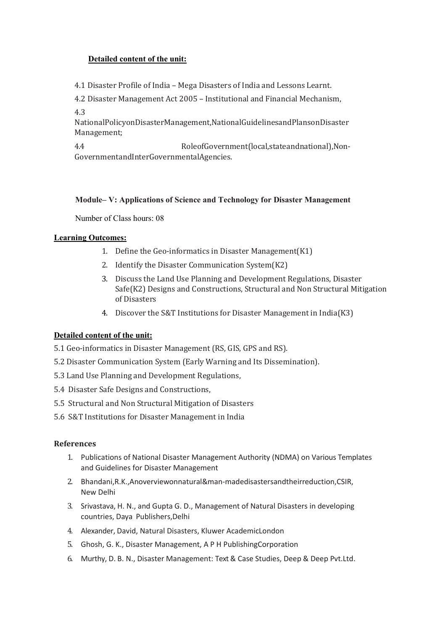## Detailed content of the unit:

4.1 Disaster Profile of India – Mega Disasters of India and Lessons Learnt.

4.2 Disaster Management Act 2005 – Institutional and Financial Mechanism,

4.3

NationalPolicyonDisasterManagement,NationalGuidelinesandPlansonDisaster Management;

4.4 RoleofGovernment(local,stateandnational),Non-GovernmentandInterGovernmentalAgencies.

## Module– V: Applications of Science and Technology for Disaster Management

Number of Class hours: 08

### Learning Outcomes:

- 1. Define the Geo-informatics in Disaster Management(K1)
- 2. Identify the Disaster Communication System(K2)
- 3. Discuss the Land Use Planning and Development Regulations, Disaster Safe(K2) Designs and Constructions, Structural and Non Structural Mitigation of Disasters
- 4. Discover the S&T Institutions for Disaster Management in India(K3)

# Detailed content of the unit:

- 5.1 Geo-informatics in Disaster Management (RS, GIS, GPS and RS).
- 5.2 Disaster Communication System (Early Warning and Its Dissemination).
- 5.3 Land Use Planning and Development Regulations,
- 5.4 Disaster Safe Designs and Constructions,
- 5.5 Structural and Non Structural Mitigation of Disasters
- 5.6 S&T Institutions for Disaster Management in India

### References

- 1. Publications of National Disaster Management Authority (NDMA) on Various Templates and Guidelines for Disaster Management
- 2. Bhandani,R.K.,Anoverviewonnatural&man-madedisastersandtheirreduction,CSIR, New Delhi
- 3. Srivastava, H. N., and Gupta G. D., Management of Natural Disasters in developing countries, Daya Publishers,Delhi
- 4. Alexander, David, Natural Disasters, Kluwer AcademicLondon
- 5. Ghosh, G. K., Disaster Management, A P H PublishingCorporation
- 6. Murthy, D. B. N., Disaster Management: Text & Case Studies, Deep & Deep Pvt.Ltd.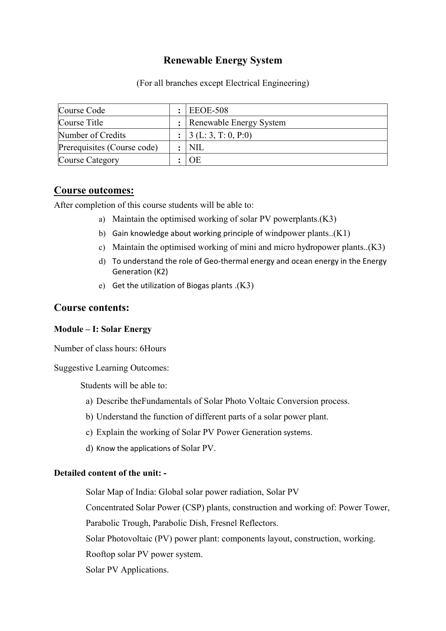# Renewable Energy System

(For all branches except Electrical Engineering)

| Course Code                 | <b>EEOE-508</b>                     |
|-----------------------------|-------------------------------------|
| Course Title                | : Renewable Energy System           |
| Number of Credits           | : $\vert 3(L; 3, T; 0, P; 0) \vert$ |
| Prerequisites (Course code) | <b>NIL</b>                          |
| Course Category             | OE                                  |

# Course outcomes:

After completion of this course students will be able to:

- a) Maintain the optimised working of solar PV powerplants.(K3)
- b) Gain knowledge about working principle of windpower plants.. $(K1)$
- c) Maintain the optimised working of mini and micro hydropower plants..(K3)
- d) To understand the role of Geo-thermal energy and ocean energy in the Energy Generation (K2)
- e) Get the utilization of Biogas plants .(K3)

# Course contents:

### Module – I: Solar Energy

Number of class hours: 6Hours

Suggestive Learning Outcomes:

Students will be able to:

- a) Describe theFundamentals of Solar Photo Voltaic Conversion process.
- b) Understand the function of different parts of a solar power plant.
- c) Explain the working of Solar PV Power Generation systems.
- d) Know the applications of Solar PV.

### Detailed content of the unit: -

Solar Map of India: Global solar power radiation, Solar PV

Concentrated Solar Power (CSP) plants, construction and working of: Power Tower,

Parabolic Trough, Parabolic Dish, Fresnel Reflectors.

Solar Photovoltaic (PV) power plant: components layout, construction, working.

Rooftop solar PV power system.

Solar PV Applications.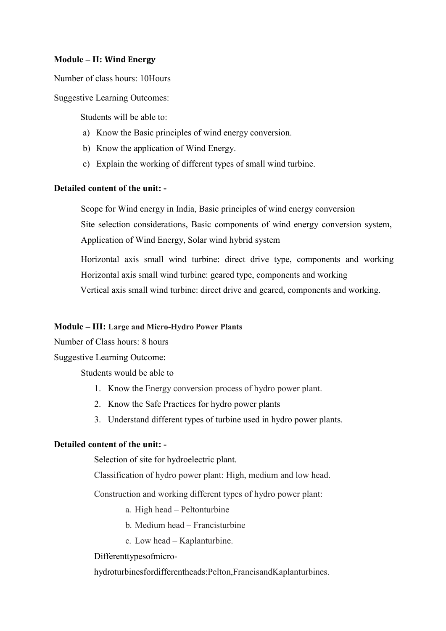## Module – II: Wind Energy

Number of class hours: 10Hours

Suggestive Learning Outcomes:

Students will be able to:

- a) Know the Basic principles of wind energy conversion.
- b) Know the application of Wind Energy.
- c) Explain the working of different types of small wind turbine.

## Detailed content of the unit: -

Scope for Wind energy in India, Basic principles of wind energy conversion Site selection considerations, Basic components of wind energy conversion system, Application of Wind Energy, Solar wind hybrid system

Horizontal axis small wind turbine: direct drive type, components and working Horizontal axis small wind turbine: geared type, components and working Vertical axis small wind turbine: direct drive and geared, components and working.

### Module – III: Large and Micro-Hydro Power Plants

Number of Class hours: 8 hours

Suggestive Learning Outcome:

Students would be able to

- 1. Know the Energy conversion process of hydro power plant.
- 2. Know the Safe Practices for hydro power plants
- 3. Understand different types of turbine used in hydro power plants.

### Detailed content of the unit: -

Selection of site for hydroelectric plant.

Classification of hydro power plant: High, medium and low head.

Construction and working different types of hydro power plant:

- a. High head Peltonturbine
- b. Medium head Francisturbine
- c. Low head Kaplanturbine.

Differenttypesofmicro-

hydroturbinesfordifferentheads:Pelton,FrancisandKaplanturbines.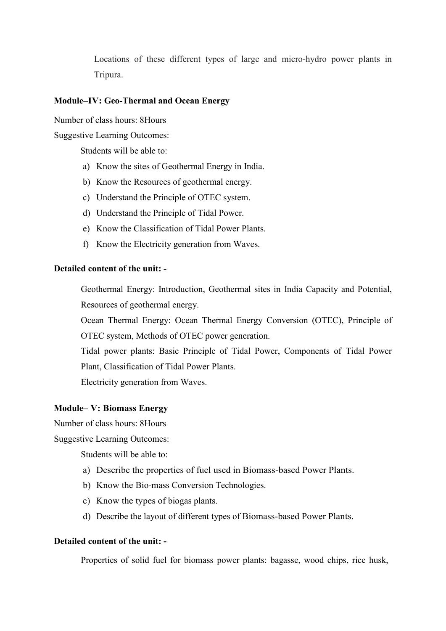Locations of these different types of large and micro-hydro power plants in Tripura.

## Module–IV: Geo-Thermal and Ocean Energy

Number of class hours: 8Hours

Suggestive Learning Outcomes:

Students will be able to:

- a) Know the sites of Geothermal Energy in India.
- b) Know the Resources of geothermal energy.
- c) Understand the Principle of OTEC system.
- d) Understand the Principle of Tidal Power.
- e) Know the Classification of Tidal Power Plants.
- f) Know the Electricity generation from Waves.

## Detailed content of the unit: -

Geothermal Energy: Introduction, Geothermal sites in India Capacity and Potential, Resources of geothermal energy.

Ocean Thermal Energy: Ocean Thermal Energy Conversion (OTEC), Principle of OTEC system, Methods of OTEC power generation.

Tidal power plants: Basic Principle of Tidal Power, Components of Tidal Power Plant, Classification of Tidal Power Plants.

Electricity generation from Waves.

#### Module– V: Biomass Energy

Number of class hours: 8Hours

Suggestive Learning Outcomes:

Students will be able to:

- a) Describe the properties of fuel used in Biomass-based Power Plants.
- b) Know the Bio-mass Conversion Technologies.
- c) Know the types of biogas plants.
- d) Describe the layout of different types of Biomass-based Power Plants.

## Detailed content of the unit: -

Properties of solid fuel for biomass power plants: bagasse, wood chips, rice husk,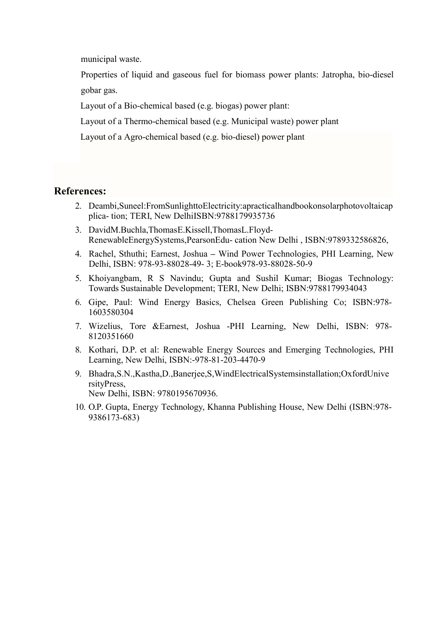municipal waste.

Properties of liquid and gaseous fuel for biomass power plants: Jatropha, bio-diesel gobar gas.

Layout of a Bio-chemical based (e.g. biogas) power plant:

Layout of a Thermo-chemical based (e.g. Municipal waste) power plant

Layout of a Agro-chemical based (e.g. bio-diesel) power plant

# References:

- 2. Deambi,Suneel:FromSunlighttoElectricity:apracticalhandbookonsolarphotovoltaicap plica- tion; TERI, New DelhiISBN:9788179935736
- 3. DavidM.Buchla,ThomasE.Kissell,ThomasL.Floyd-RenewableEnergySystems,PearsonEdu- cation New Delhi , ISBN:9789332586826,
- 4. Rachel, Sthuthi; Earnest, Joshua Wind Power Technologies, PHI Learning, New Delhi, ISBN: 978-93-88028-49- 3; E-book978-93-88028-50-9
- 5. Khoiyangbam, R S Navindu; Gupta and Sushil Kumar; Biogas Technology: Towards Sustainable Development; TERI, New Delhi; ISBN:9788179934043
- 6. Gipe, Paul: Wind Energy Basics, Chelsea Green Publishing Co; ISBN:978- 1603580304
- 7. Wizelius, Tore &Earnest, Joshua -PHI Learning, New Delhi, ISBN: 978- 8120351660
- 8. Kothari, D.P. et al: Renewable Energy Sources and Emerging Technologies, PHI Learning, New Delhi, ISBN:-978-81-203-4470-9
- 9. Bhadra,S.N.,Kastha,D.,Banerjee,S,WindElectricalSystemsinstallation;OxfordUnive rsityPress, New Delhi, ISBN: 9780195670936.
- 10. O.P. Gupta, Energy Technology, Khanna Publishing House, New Delhi (ISBN:978- 9386173-683)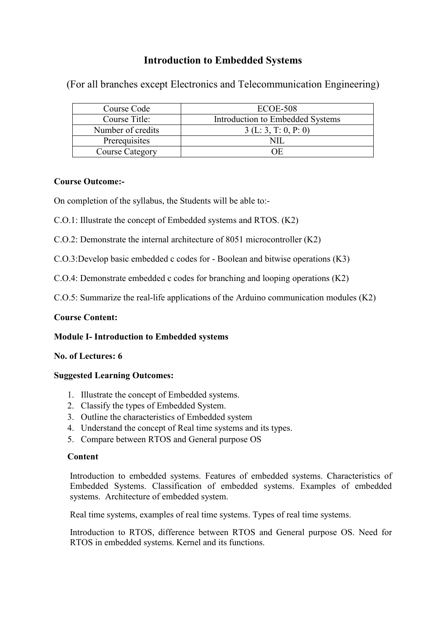# Introduction to Embedded Systems

(For all branches except Electronics and Telecommunication Engineering)

| Course Code            | ECOE-508                         |
|------------------------|----------------------------------|
| Course Title:          | Introduction to Embedded Systems |
| Number of credits      | 3(L: 3, T: 0, P: 0)              |
| Prerequisites          |                                  |
| <b>Course Category</b> | NЕ                               |

# Course Outcome:-

On completion of the syllabus, the Students will be able to:-

- C.O.1: Illustrate the concept of Embedded systems and RTOS. (K2)
- C.O.2: Demonstrate the internal architecture of 8051 microcontroller (K2)

C.O.3:Develop basic embedded c codes for - Boolean and bitwise operations (K3)

C.O.4: Demonstrate embedded c codes for branching and looping operations (K2)

C.O.5: Summarize the real-life applications of the Arduino communication modules (K2)

# Course Content:

# Module I- Introduction to Embedded systems

# No. of Lectures: 6

# Suggested Learning Outcomes:

- 1. Illustrate the concept of Embedded systems.
- 2. Classify the types of Embedded System.
- 3. Outline the characteristics of Embedded system
- 4. Understand the concept of Real time systems and its types.
- 5. Compare between RTOS and General purpose OS

# **Content**

Introduction to embedded systems. Features of embedded systems. Characteristics of Embedded Systems. Classification of embedded systems. Examples of embedded systems. Architecture of embedded system.

Real time systems, examples of real time systems. Types of real time systems.

Introduction to RTOS, difference between RTOS and General purpose OS. Need for RTOS in embedded systems. Kernel and its functions.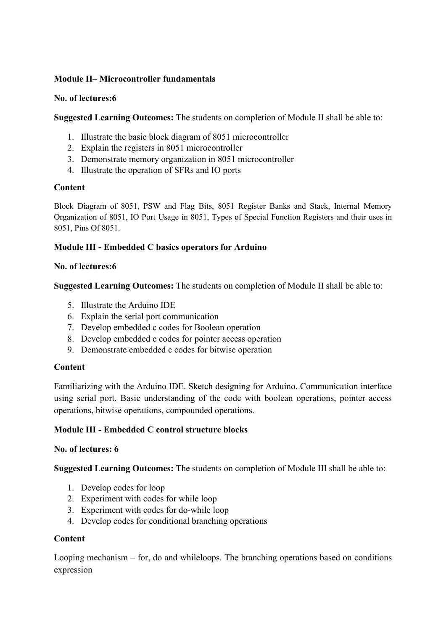# Module II– Microcontroller fundamentals

## No. of lectures:6

Suggested Learning Outcomes: The students on completion of Module II shall be able to:

- 1. Illustrate the basic block diagram of 8051 microcontroller
- 2. Explain the registers in 8051 microcontroller
- 3. Demonstrate memory organization in 8051 microcontroller
- 4. Illustrate the operation of SFRs and IO ports

# **Content**

Block Diagram of 8051, PSW and Flag Bits, 8051 Register Banks and Stack, Internal Memory Organization of 8051, IO Port Usage in 8051, Types of Special Function Registers and their uses in 8051, Pins Of 8051.

# Module III - Embedded C basics operators for Arduino

# No. of lectures:6

Suggested Learning Outcomes: The students on completion of Module II shall be able to:

- 5. Illustrate the Arduino IDE
- 6. Explain the serial port communication
- 7. Develop embedded c codes for Boolean operation
- 8. Develop embedded c codes for pointer access operation
- 9. Demonstrate embedded c codes for bitwise operation

# **Content**

Familiarizing with the Arduino IDE. Sketch designing for Arduino. Communication interface using serial port. Basic understanding of the code with boolean operations, pointer access operations, bitwise operations, compounded operations.

# Module III - Embedded C control structure blocks

# No. of lectures: 6

Suggested Learning Outcomes: The students on completion of Module III shall be able to:

- 1. Develop codes for loop
- 2. Experiment with codes for while loop
- 3. Experiment with codes for do-while loop
- 4. Develop codes for conditional branching operations

# **Content**

Looping mechanism – for, do and whileloops. The branching operations based on conditions expression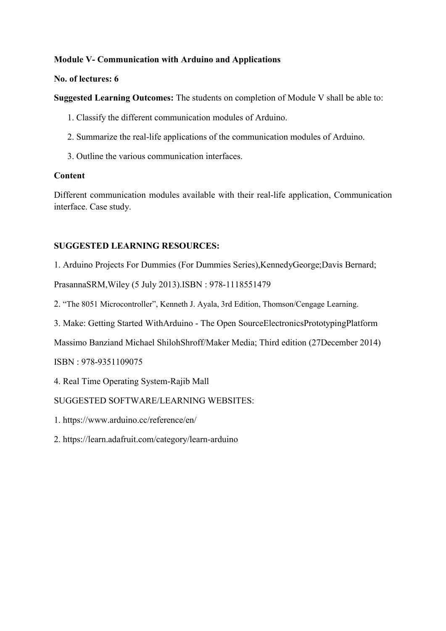# Module V- Communication with Arduino and Applications

# No. of lectures: 6

Suggested Learning Outcomes: The students on completion of Module V shall be able to:

- 1. Classify the different communication modules of Arduino.
- 2. Summarize the real-life applications of the communication modules of Arduino.
- 3. Outline the various communication interfaces.

# **Content**

Different communication modules available with their real-life application, Communication interface. Case study.

# SUGGESTED LEARNING RESOURCES:

1. Arduino Projects For Dummies (For Dummies Series),KennedyGeorge;Davis Bernard;

PrasannaSRM,Wiley (5 July 2013).ISBN : 978-1118551479

- 2. "The 8051 Microcontroller", Kenneth J. Ayala, 3rd Edition, Thomson/Cengage Learning.
- 3. Make: Getting Started WithArduino The Open SourceElectronicsPrototypingPlatform

Massimo Banziand Michael ShilohShroff/Maker Media; Third edition (27December 2014)

ISBN : 978-9351109075

4. Real Time Operating System-Rajib Mall

# SUGGESTED SOFTWARE/LEARNING WEBSITES:

- 1. https://www.arduino.cc/reference/en/
- 2. https://learn.adafruit.com/category/learn-arduino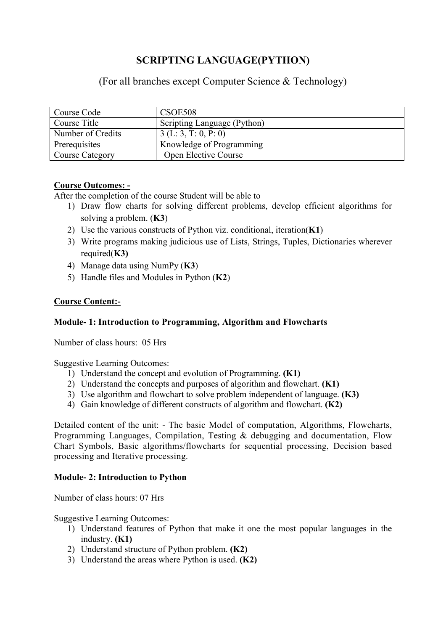# SCRIPTING LANGUAGE(PYTHON)

(For all branches except Computer Science & Technology)

| Course Code       | CSOE508                     |
|-------------------|-----------------------------|
| Course Title      | Scripting Language (Python) |
| Number of Credits | 3(L: 3, T: 0, P: 0)         |
| Prerequisites     | Knowledge of Programming    |
| Course Category   | Open Elective Course        |

# Course Outcomes: -

After the completion of the course Student will be able to

- 1) Draw flow charts for solving different problems, develop efficient algorithms for solving a problem. (K3)
- 2) Use the various constructs of Python viz. conditional, iteration $(K1)$
- 3) Write programs making judicious use of Lists, Strings, Tuples, Dictionaries wherever required $(K3)$
- 4) Manage data using NumPy (K3)
- 5) Handle files and Modules in Python (K2)

# Course Content:-

# Module- 1: Introduction to Programming, Algorithm and Flowcharts

Number of class hours: 05 Hrs

Suggestive Learning Outcomes:

- 1) Understand the concept and evolution of Programming. (K1)
- 2) Understand the concepts and purposes of algorithm and flowchart. (K1)
- 3) Use algorithm and flowchart to solve problem independent of language. (K3)
- 4) Gain knowledge of different constructs of algorithm and flowchart. (K2)

Detailed content of the unit: - The basic Model of computation, Algorithms, Flowcharts, Programming Languages, Compilation, Testing & debugging and documentation, Flow Chart Symbols, Basic algorithms/flowcharts for sequential processing, Decision based processing and Iterative processing.

# Module- 2: Introduction to Python

Number of class hours: 07 Hrs

Suggestive Learning Outcomes:

- 1) Understand features of Python that make it one the most popular languages in the industry. (K1)
- 2) Understand structure of Python problem. (K2)
- 3) Understand the areas where Python is used. (K2)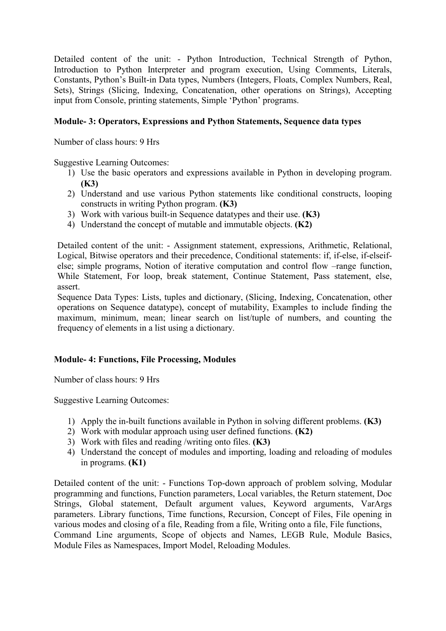Detailed content of the unit: - Python Introduction, Technical Strength of Python, Introduction to Python Interpreter and program execution, Using Comments, Literals, Constants, Python's Built-in Data types, Numbers (Integers, Floats, Complex Numbers, Real, Sets), Strings (Slicing, Indexing, Concatenation, other operations on Strings), Accepting input from Console, printing statements, Simple 'Python' programs.

# Module- 3: Operators, Expressions and Python Statements, Sequence data types

Number of class hours: 9 Hrs

Suggestive Learning Outcomes:

- 1) Use the basic operators and expressions available in Python in developing program. (K3)
- 2) Understand and use various Python statements like conditional constructs, looping constructs in writing Python program. (K3)
- 3) Work with various built-in Sequence datatypes and their use. (K3)
- 4) Understand the concept of mutable and immutable objects. (K2)

Detailed content of the unit: - Assignment statement, expressions, Arithmetic, Relational, Logical, Bitwise operators and their precedence, Conditional statements: if, if-else, if-elseifelse; simple programs, Notion of iterative computation and control flow –range function, While Statement, For loop, break statement, Continue Statement, Pass statement, else, assert.

Sequence Data Types: Lists, tuples and dictionary, (Slicing, Indexing, Concatenation, other operations on Sequence datatype), concept of mutability, Examples to include finding the maximum, minimum, mean; linear search on list/tuple of numbers, and counting the frequency of elements in a list using a dictionary.

# Module- 4: Functions, File Processing, Modules

Number of class hours: 9 Hrs

Suggestive Learning Outcomes:

- 1) Apply the in-built functions available in Python in solving different problems. (K3)
- 2) Work with modular approach using user defined functions. (K2)
- 3) Work with files and reading /writing onto files. (K3)
- 4) Understand the concept of modules and importing, loading and reloading of modules in programs. (K1)

Detailed content of the unit: - Functions Top-down approach of problem solving, Modular programming and functions, Function parameters, Local variables, the Return statement, Doc Strings, Global statement, Default argument values, Keyword arguments, VarArgs parameters. Library functions, Time functions, Recursion, Concept of Files, File opening in various modes and closing of a file, Reading from a file, Writing onto a file, File functions, Command Line arguments, Scope of objects and Names, LEGB Rule, Module Basics, Module Files as Namespaces, Import Model, Reloading Modules.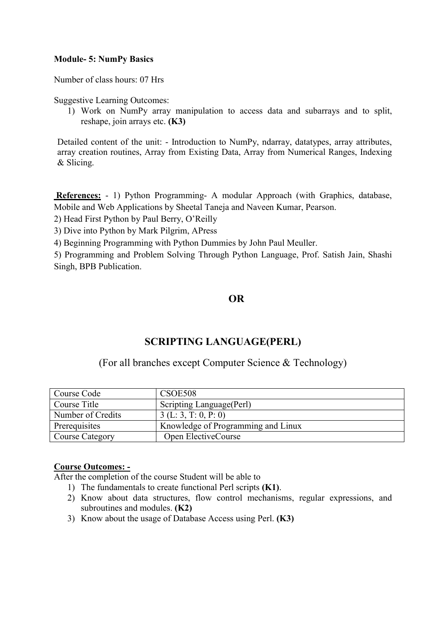## Module- 5: NumPy Basics

Number of class hours: 07 Hrs

Suggestive Learning Outcomes:

1) Work on NumPy array manipulation to access data and subarrays and to split, reshape, join arrays etc. (K3)

Detailed content of the unit: - Introduction to NumPy, ndarray, datatypes, array attributes, array creation routines, Array from Existing Data, Array from Numerical Ranges, Indexing & Slicing.

References: - 1) Python Programming- A modular Approach (with Graphics, database, Mobile and Web Applications by Sheetal Taneja and Naveen Kumar, Pearson.

2) Head First Python by Paul Berry, O'Reilly

3) Dive into Python by Mark Pilgrim, APress

4) Beginning Programming with Python Dummies by John Paul Meuller.

5) Programming and Problem Solving Through Python Language, Prof. Satish Jain, Shashi Singh, BPB Publication.

# OR

# SCRIPTING LANGUAGE(PERL)

(For all branches except Computer Science & Technology)

| Course Code       | CSOE508                            |
|-------------------|------------------------------------|
| Course Title      | Scripting Language (Perl)          |
| Number of Credits | 3(L: 3, T: 0, P: 0)                |
| Prerequisites     | Knowledge of Programming and Linux |
| Course Category   | Open ElectiveCourse                |

## Course Outcomes: -

After the completion of the course Student will be able to

- 1) The fundamentals to create functional Perl scripts (K1).
- 2) Know about data structures, flow control mechanisms, regular expressions, and subroutines and modules. (K2)
- 3) Know about the usage of Database Access using Perl. (K3)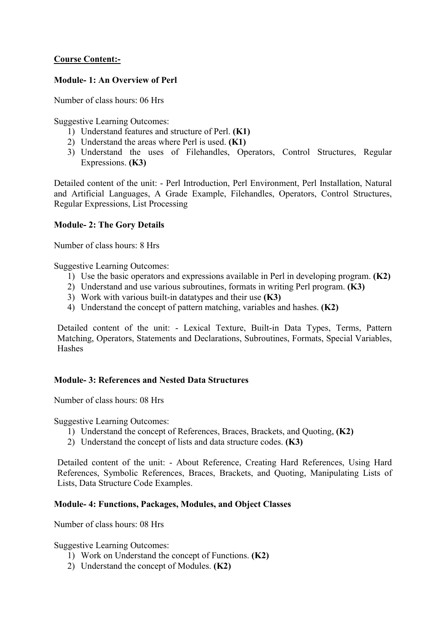# Course Content:-

## Module- 1: An Overview of Perl

Number of class hours: 06 Hrs

Suggestive Learning Outcomes:

- 1) Understand features and structure of Perl. (K1)
- 2) Understand the areas where Perl is used. (K1)
- 3) Understand the uses of Filehandles, Operators, Control Structures, Regular Expressions. (K3)

Detailed content of the unit: - Perl Introduction, Perl Environment, Perl Installation, Natural and Artificial Languages, A Grade Example, Filehandles, Operators, Control Structures, Regular Expressions, List Processing

## Module- 2: The Gory Details

Number of class hours: 8 Hrs

Suggestive Learning Outcomes:

- 1) Use the basic operators and expressions available in Perl in developing program. (K2)
- 2) Understand and use various subroutines, formats in writing Perl program. (K3)
- 3) Work with various built-in datatypes and their use (K3)
- 4) Understand the concept of pattern matching, variables and hashes. (K2)

Detailed content of the unit: - Lexical Texture, Built-in Data Types, Terms, Pattern Matching, Operators, Statements and Declarations, Subroutines, Formats, Special Variables, Hashes

### Module- 3: References and Nested Data Structures

Number of class hours: 08 Hrs

Suggestive Learning Outcomes:

- 1) Understand the concept of References, Braces, Brackets, and Quoting, (K2)
- 2) Understand the concept of lists and data structure codes. (K3)

Detailed content of the unit: - About Reference, Creating Hard References, Using Hard References, Symbolic References, Braces, Brackets, and Quoting, Manipulating Lists of Lists, Data Structure Code Examples.

### Module- 4: Functions, Packages, Modules, and Object Classes

Number of class hours: 08 Hrs

Suggestive Learning Outcomes:

- 1) Work on Understand the concept of Functions. (K2)
- 2) Understand the concept of Modules. (K2)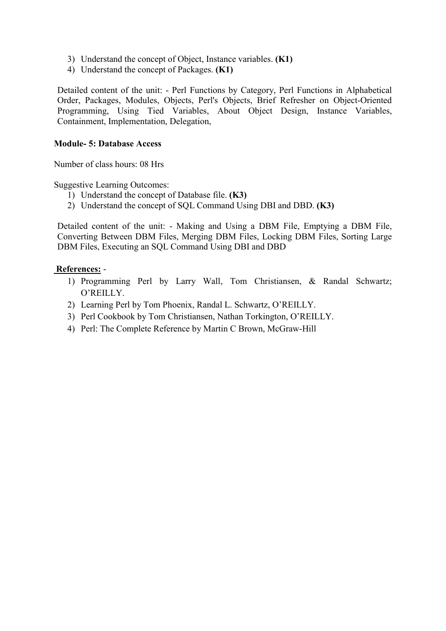- 3) Understand the concept of Object, Instance variables. (K1)
- 4) Understand the concept of Packages. (K1)

Detailed content of the unit: - Perl Functions by Category, Perl Functions in Alphabetical Order, Packages, Modules, Objects, Perl's Objects, Brief Refresher on Object-Oriented Programming, Using Tied Variables, About Object Design, Instance Variables, Containment, Implementation, Delegation,

## Module- 5: Database Access

Number of class hours: 08 Hrs

Suggestive Learning Outcomes:

- 1) Understand the concept of Database file. (K3)
- 2) Understand the concept of SQL Command Using DBI and DBD. (K3)

Detailed content of the unit: - Making and Using a DBM File, Emptying a DBM File, Converting Between DBM Files, Merging DBM Files, Locking DBM Files, Sorting Large DBM Files, Executing an SQL Command Using DBI and DBD

## References: -

- 1) Programming Perl by Larry Wall, Tom Christiansen, & Randal Schwartz; O'REILLY.
- 2) Learning Perl by Tom Phoenix, Randal L. Schwartz, O'REILLY.
- 3) Perl Cookbook by Tom Christiansen, Nathan Torkington, O'REILLY.
- 4) Perl: The Complete Reference by Martin C Brown, McGraw-Hill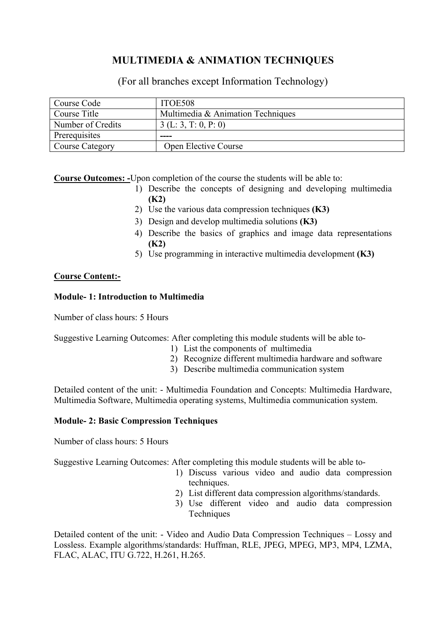# MULTIMEDIA & ANIMATION TECHNIQUES

(For all branches except Information Technology)

| Course Code       | ITOE508                           |
|-------------------|-----------------------------------|
| Course Title      | Multimedia & Animation Techniques |
| Number of Credits | 3(L: 3, T: 0, P: 0)               |
| Prerequisites     | ----                              |
| Course Category   | Open Elective Course              |

Course Outcomes: -Upon completion of the course the students will be able to:

- 1) Describe the concepts of designing and developing multimedia (K2)
- 2) Use the various data compression techniques (K3)
- 3) Design and develop multimedia solutions (K3)
- 4) Describe the basics of graphics and image data representations (K2)
- 5) Use programming in interactive multimedia development (K3)

# Course Content:-

### Module- 1: Introduction to Multimedia

Number of class hours: 5 Hours

Suggestive Learning Outcomes: After completing this module students will be able to-

- 1) List the components of multimedia
- 2) Recognize different multimedia hardware and software
- 3) Describe multimedia communication system

Detailed content of the unit: - Multimedia Foundation and Concepts: Multimedia Hardware, Multimedia Software, Multimedia operating systems, Multimedia communication system.

### Module- 2: Basic Compression Techniques

Number of class hours: 5 Hours

Suggestive Learning Outcomes: After completing this module students will be able to-

- 1) Discuss various video and audio data compression techniques.
- 2) List different data compression algorithms/standards.
- 3) Use different video and audio data compression **Techniques**

Detailed content of the unit: - Video and Audio Data Compression Techniques – Lossy and Lossless. Example algorithms/standards: Huffman, RLE, JPEG, MPEG, MP3, MP4, LZMA, FLAC, ALAC, ITU G.722, H.261, H.265.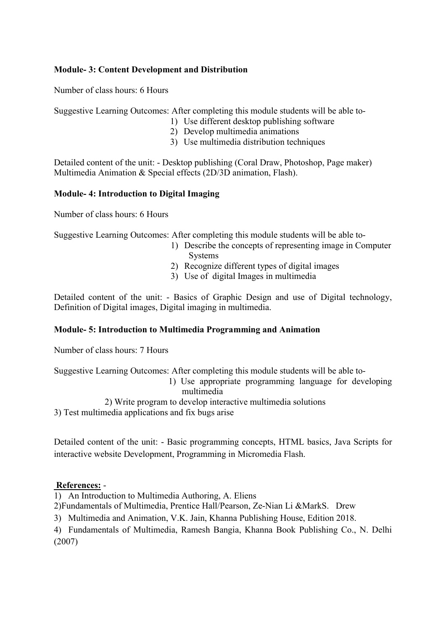## Module- 3: Content Development and Distribution

Number of class hours: 6 Hours

Suggestive Learning Outcomes: After completing this module students will be able to-

- 1) Use different desktop publishing software
- 2) Develop multimedia animations
- 3) Use multimedia distribution techniques

Detailed content of the unit: - Desktop publishing (Coral Draw, Photoshop, Page maker) Multimedia Animation & Special effects (2D/3D animation, Flash).

## Module- 4: Introduction to Digital Imaging

Number of class hours: 6 Hours

Suggestive Learning Outcomes: After completing this module students will be able to-

- 1) Describe the concepts of representing image in Computer Systems
- 2) Recognize different types of digital images
- 3) Use of digital Images in multimedia

Detailed content of the unit: - Basics of Graphic Design and use of Digital technology, Definition of Digital images, Digital imaging in multimedia.

# Module- 5: Introduction to Multimedia Programming and Animation

Number of class hours: 7 Hours

Suggestive Learning Outcomes: After completing this module students will be able to-

- 1) Use appropriate programming language for developing multimedia
- 2) Write program to develop interactive multimedia solutions

3) Test multimedia applications and fix bugs arise

Detailed content of the unit: - Basic programming concepts, HTML basics, Java Scripts for interactive website Development, Programming in Micromedia Flash.

### References: -

1) An Introduction to Multimedia Authoring, A. Eliens

2)Fundamentals of Multimedia, Prentice Hall/Pearson, Ze-Nian Li &MarkS. Drew

3) Multimedia and Animation, V.K. Jain, Khanna Publishing House, Edition 2018.

4) Fundamentals of Multimedia, Ramesh Bangia, Khanna Book Publishing Co., N. Delhi (2007)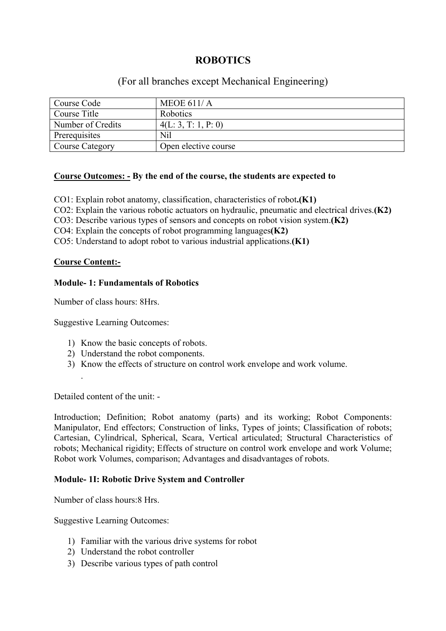# **ROBOTICS**

# (For all branches except Mechanical Engineering)

| Course Code       | MEOE $611/A$         |
|-------------------|----------------------|
| Course Title      | Robotics             |
| Number of Credits | 4(L: 3, T: 1, P: 0)  |
| Prerequisites     | Nil                  |
| Course Category   | Open elective course |

### Course Outcomes: - By the end of the course, the students are expected to

CO1: Explain robot anatomy, classification, characteristics of robot.(K1)

CO2: Explain the various robotic actuators on hydraulic, pneumatic and electrical drives.(K2)

CO3: Describe various types of sensors and concepts on robot vision system.(K2)

CO4: Explain the concepts of robot programming languages(K2)

CO5: Understand to adopt robot to various industrial applications.(K1)

### Course Content:-

.

## Module- 1: Fundamentals of Robotics

Number of class hours: 8Hrs.

Suggestive Learning Outcomes:

- 1) Know the basic concepts of robots.
- 2) Understand the robot components.
- 3) Know the effects of structure on control work envelope and work volume.

Detailed content of the unit: -

Introduction; Definition; Robot anatomy (parts) and its working; Robot Components: Manipulator, End effectors; Construction of links, Types of joints; Classification of robots; Cartesian, Cylindrical, Spherical, Scara, Vertical articulated; Structural Characteristics of robots; Mechanical rigidity; Effects of structure on control work envelope and work Volume; Robot work Volumes, comparison; Advantages and disadvantages of robots.

# Module- 1I: Robotic Drive System and Controller

Number of class hours:8 Hrs.

Suggestive Learning Outcomes:

- 1) Familiar with the various drive systems for robot
- 2) Understand the robot controller
- 3) Describe various types of path control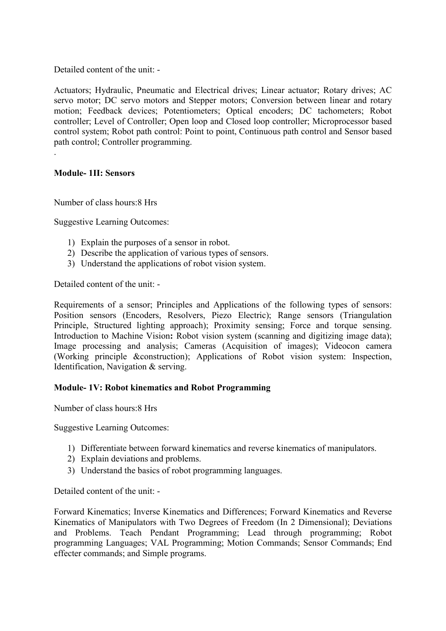Detailed content of the unit: -

Actuators; Hydraulic, Pneumatic and Electrical drives; Linear actuator; Rotary drives; AC servo motor; DC servo motors and Stepper motors; Conversion between linear and rotary motion; Feedback devices; Potentiometers; Optical encoders; DC tachometers; Robot controller; Level of Controller; Open loop and Closed loop controller; Microprocessor based control system; Robot path control: Point to point, Continuous path control and Sensor based path control; Controller programming.

## Module- 1II: Sensors

.

Number of class hours:8 Hrs

Suggestive Learning Outcomes:

- 1) Explain the purposes of a sensor in robot.
- 2) Describe the application of various types of sensors.
- 3) Understand the applications of robot vision system.

Detailed content of the unit: -

Requirements of a sensor; Principles and Applications of the following types of sensors: Position sensors (Encoders, Resolvers, Piezo Electric); Range sensors (Triangulation Principle, Structured lighting approach); Proximity sensing; Force and torque sensing. Introduction to Machine Vision: Robot vision system (scanning and digitizing image data); Image processing and analysis; Cameras (Acquisition of images); Videocon camera (Working principle &construction); Applications of Robot vision system: Inspection, Identification, Navigation & serving.

### Module- 1V: Robot kinematics and Robot Programming

Number of class hours:8 Hrs

Suggestive Learning Outcomes:

- 1) Differentiate between forward kinematics and reverse kinematics of manipulators.
- 2) Explain deviations and problems.
- 3) Understand the basics of robot programming languages.

Detailed content of the unit: -

Forward Kinematics; Inverse Kinematics and Differences; Forward Kinematics and Reverse Kinematics of Manipulators with Two Degrees of Freedom (In 2 Dimensional); Deviations and Problems. Teach Pendant Programming; Lead through programming; Robot programming Languages; VAL Programming; Motion Commands; Sensor Commands; End effecter commands; and Simple programs.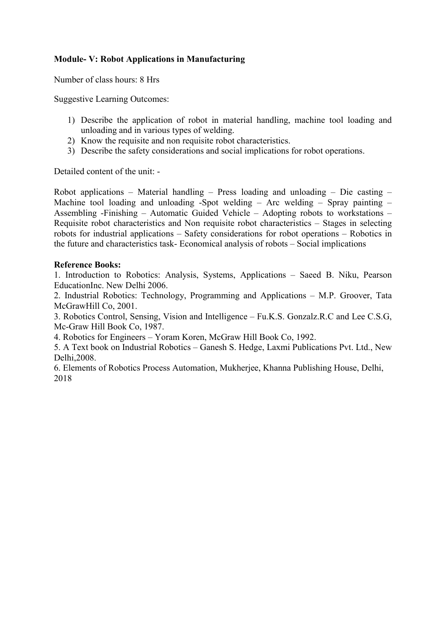# Module- V: Robot Applications in Manufacturing

Number of class hours: 8 Hrs

Suggestive Learning Outcomes:

- 1) Describe the application of robot in material handling, machine tool loading and unloading and in various types of welding.
- 2) Know the requisite and non requisite robot characteristics.
- 3) Describe the safety considerations and social implications for robot operations.

Detailed content of the unit: -

Robot applications – Material handling – Press loading and unloading – Die casting – Machine tool loading and unloading -Spot welding – Arc welding – Spray painting – Assembling -Finishing – Automatic Guided Vehicle – Adopting robots to workstations – Requisite robot characteristics and Non requisite robot characteristics – Stages in selecting robots for industrial applications – Safety considerations for robot operations – Robotics in the future and characteristics task- Economical analysis of robots – Social implications

### Reference Books:

1. Introduction to Robotics: Analysis, Systems, Applications – Saeed B. Niku, Pearson EducationInc. New Delhi 2006.

2. Industrial Robotics: Technology, Programming and Applications – M.P. Groover, Tata McGrawHill Co, 2001.

3. Robotics Control, Sensing, Vision and Intelligence – Fu.K.S. Gonzalz.R.C and Lee C.S.G, Mc-Graw Hill Book Co, 1987.

4. Robotics for Engineers – Yoram Koren, McGraw Hill Book Co, 1992.

5. A Text book on Industrial Robotics – Ganesh S. Hedge, Laxmi Publications Pvt. Ltd., New Delhi,2008.

6. Elements of Robotics Process Automation, Mukherjee, Khanna Publishing House, Delhi, 2018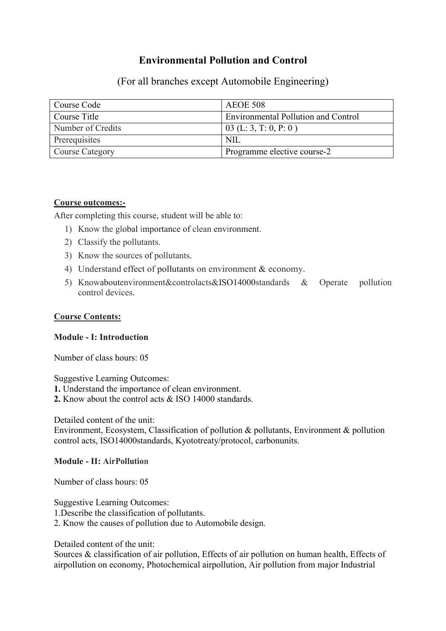# Environmental Pollution and Control

(For all branches except Automobile Engineering)

| Course Code       | <b>AEOE 508</b>                            |
|-------------------|--------------------------------------------|
| Course Title      | <b>Environmental Pollution and Control</b> |
| Number of Credits | 03 (L: 3, T: 0, P: 0)                      |
| Prerequisites     | NII.                                       |
| Course Category   | Programme elective course-2                |

### Course outcomes:-

After completing this course, student will be able to:

- 1) Know the global importance of clean environment.
- 2) Classify the pollutants.
- 3) Know the sources of pollutants.
- 4) Understand effect of pollutants on environment & economy.
- 5) Knowaboutenvironment&controlacts&ISO14000standards & Operate pollution control devices.

## Course Contents:

## Module - I: Introduction

Number of class hours: 05

Suggestive Learning Outcomes:

- 1. Understand the importance of clean environment.
- 2. Know about the control acts & ISO 14000 standards.

Detailed content of the unit:

Environment, Ecosystem, Classification of pollution & pollutants, Environment & pollution control acts, ISO14000standards, Kyototreaty/protocol, carbonunits.

### Module - II: AirPollution

Number of class hours: 05

Suggestive Learning Outcomes:

1.Describe the classification of pollutants.

2. Know the causes of pollution due to Automobile design.

Detailed content of the unit:

Sources & classification of air pollution, Effects of air pollution on human health, Effects of airpollution on economy, Photochemical airpollution, Air pollution from major Industrial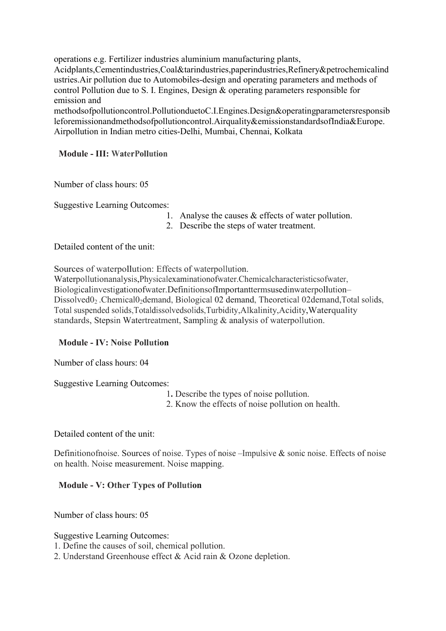operations e.g. Fertilizer industries aluminium manufacturing plants, Acidplants,Cementindustries,Coal&tarindustries,paperindustries,Refinery&petrochemicalind ustries.Air pollution due to Automobiles-design and operating parameters and methods of control Pollution due to S. I. Engines, Design & operating parameters responsible for emission and methodsofpollutioncontrol.PollutionduetoC.I.Engines.Design&operatingparametersresponsib

leforemissionandmethodsofpollutioncontrol.Airquality&emissionstandardsofIndia&Europe. Airpollution in Indian metro cities-Delhi, Mumbai, Chennai, Kolkata

# Module - III: WaterPollution

Number of class hours: 05

Suggestive Learning Outcomes:

- 1. Analyse the causes & effects of water pollution.
- 2. Describe the steps of water treatment.

Detailed content of the unit:

Sources of waterpollution: Effects of waterpollution.

Waterpollutionanalysis,Physicalexaminationofwater.Chemicalcharacteristicsofwater, Biologicalinvestigationofwater.DefinitionsofImportanttermsusedinwaterpollution– Dissolved0<sub>2</sub> .Chemical0<sub>2</sub>demand, Biological 02 demand, Theoretical 02demand, Total solids, Total suspended solids,Totaldissolvedsolids,Turbidity,Alkalinity,Acidity,Waterquality standards, Stepsin Watertreatment, Sampling & analysis of waterpollution.

# Module - IV: Noise Pollution

Number of class hours: 04

Suggestive Learning Outcomes:

- 1. Describe the types of noise pollution.
- 2. Know the effects of noise pollution on health.

Detailed content of the unit:

Definitionofnoise. Sources of noise. Types of noise –Impulsive & sonic noise. Effects of noise on health. Noise measurement. Noise mapping.

# Module - V: Other Types of Pollution

Number of class hours: 05

Suggestive Learning Outcomes:

1. Define the causes of soil, chemical pollution.

2. Understand Greenhouse effect & Acid rain & Ozone depletion.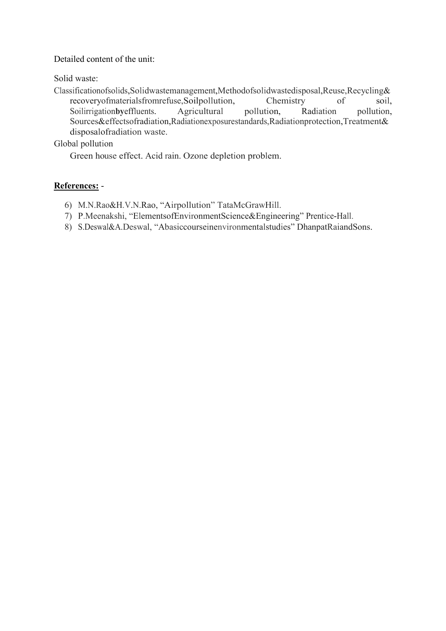Detailed content of the unit:

Solid waste:

Classificationofsolids,Solidwastemanagement,Methodofsolidwastedisposal,Reuse,Recycling& recoveryofmaterialsfromrefuse,Soilpollution, Chemistry of soil,<br>Soilirrigationbyeffluents. Agricultural pollution, Radiation pollution, Soilirrigationby effluents. Agricultural pollution, Sources&effectsofradiation,Radiationexposurestandards,Radiationprotection,Treatment& disposalofradiation waste.

Global pollution

Green house effect. Acid rain. Ozone depletion problem.

## References: -

- 6) M.N.Rao&H.V.N.Rao, "Airpollution" TataMcGrawHill.
- 7) P.Meenakshi, "ElementsofEnvironmentScience&Engineering" Prentice-Hall.
- 8) S.Deswal&A.Deswal, "Abasiccourseinenvironmentalstudies" DhanpatRaiandSons.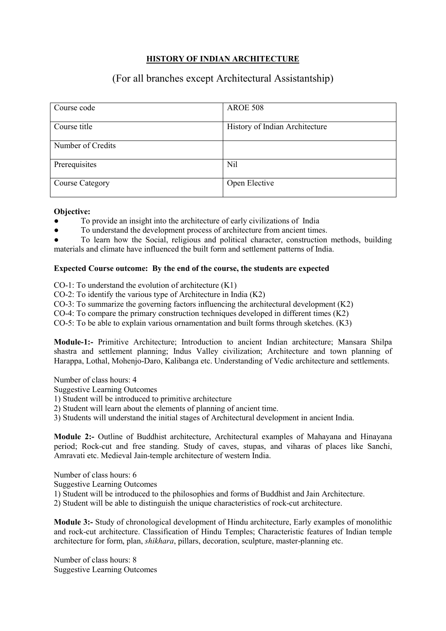# HISTORY OF INDIAN ARCHITECTURE

# (For all branches except Architectural Assistantship)

| Course code            | <b>AROE 508</b>                |
|------------------------|--------------------------------|
| Course title           | History of Indian Architecture |
| Number of Credits      |                                |
| Prerequisites          | Nil                            |
| <b>Course Category</b> | Open Elective                  |

#### Objective:

To provide an insight into the architecture of early civilizations of India

To understand the development process of architecture from ancient times.

To learn how the Social, religious and political character, construction methods, building materials and climate have influenced the built form and settlement patterns of India.

#### Expected Course outcome: By the end of the course, the students are expected

CO-1: To understand the evolution of architecture (K1)

CO-2: To identify the various type of Architecture in India (K2)

CO-3: To summarize the governing factors influencing the architectural development (K2)

CO-4: To compare the primary construction techniques developed in different times (K2)

CO-5: To be able to explain various ornamentation and built forms through sketches. (K3)

Module-1:- Primitive Architecture; Introduction to ancient Indian architecture; Mansara Shilpa shastra and settlement planning; Indus Valley civilization; Architecture and town planning of Harappa, Lothal, Mohenjo-Daro, Kalibanga etc. Understanding of Vedic architecture and settlements.

Number of class hours: 4

Suggestive Learning Outcomes

1) Student will be introduced to primitive architecture

2) Student will learn about the elements of planning of ancient time.

3) Students will understand the initial stages of Architectural development in ancient India.

Module 2:- Outline of Buddhist architecture, Architectural examples of Mahayana and Hinayana period; Rock-cut and free standing. Study of caves, stupas, and viharas of places like Sanchi, Amravati etc. Medieval Jain-temple architecture of western India.

Number of class hours: 6

Suggestive Learning Outcomes

1) Student will be introduced to the philosophies and forms of Buddhist and Jain Architecture.

2) Student will be able to distinguish the unique characteristics of rock-cut architecture.

Module 3:- Study of chronological development of Hindu architecture, Early examples of monolithic and rock-cut architecture. Classification of Hindu Temples; Characteristic features of Indian temple architecture for form, plan, *shikhara*, pillars, decoration, sculpture, master-planning etc.

Number of class hours: 8 Suggestive Learning Outcomes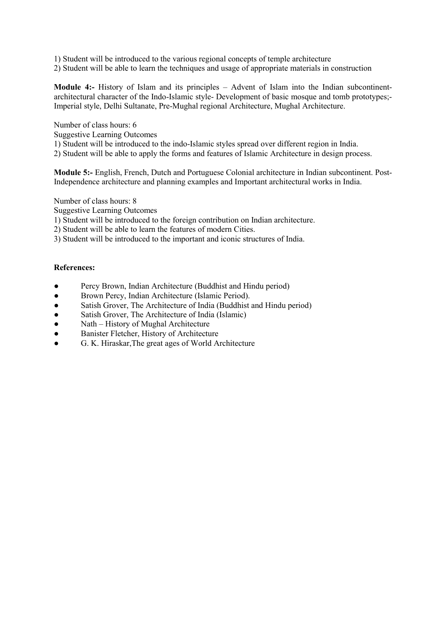1) Student will be introduced to the various regional concepts of temple architecture

2) Student will be able to learn the techniques and usage of appropriate materials in construction

Module 4:- History of Islam and its principles – Advent of Islam into the Indian subcontinentarchitectural character of the Indo-Islamic style- Development of basic mosque and tomb prototypes;- Imperial style, Delhi Sultanate, Pre-Mughal regional Architecture, Mughal Architecture.

Number of class hours: 6

Suggestive Learning Outcomes

1) Student will be introduced to the indo-Islamic styles spread over different region in India.

2) Student will be able to apply the forms and features of Islamic Architecture in design process.

Module 5:- English, French, Dutch and Portuguese Colonial architecture in Indian subcontinent. Post-Independence architecture and planning examples and Important architectural works in India.

Number of class hours: 8

Suggestive Learning Outcomes

1) Student will be introduced to the foreign contribution on Indian architecture.

- 2) Student will be able to learn the features of modern Cities.
- 3) Student will be introduced to the important and iconic structures of India.

#### References:

- Percy Brown, Indian Architecture (Buddhist and Hindu period)
- Brown Percy, Indian Architecture (Islamic Period).
- Satish Grover, The Architecture of India (Buddhist and Hindu period)
- Satish Grover, The Architecture of India (Islamic)
- Nath History of Mughal Architecture
- Banister Fletcher, History of Architecture
- G. K. Hiraskar, The great ages of World Architecture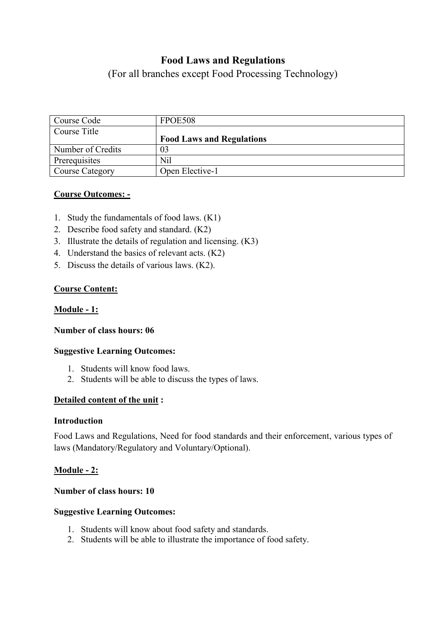# Food Laws and Regulations

(For all branches except Food Processing Technology)

| Course Code            | FPOE508                          |
|------------------------|----------------------------------|
| Course Title           |                                  |
|                        | <b>Food Laws and Regulations</b> |
| Number of Credits      | 03                               |
| Prerequisites          | Nil                              |
| <b>Course Category</b> | Open Elective-1                  |

# Course Outcomes: -

- 1. Study the fundamentals of food laws. (K1)
- 2. Describe food safety and standard. (K2)
- 3. Illustrate the details of regulation and licensing. (K3)
- 4. Understand the basics of relevant acts. (K2)
- 5. Discuss the details of various laws. (K2).

# Course Content:

# Module - 1:

# Number of class hours: 06

# Suggestive Learning Outcomes:

- 1. Students will know food laws.
- 2. Students will be able to discuss the types of laws.

# Detailed content of the unit :

### Introduction

Food Laws and Regulations, Need for food standards and their enforcement, various types of laws (Mandatory/Regulatory and Voluntary/Optional).

# **Module - 2:**

### Number of class hours: 10

# Suggestive Learning Outcomes:

- 1. Students will know about food safety and standards.
- 2. Students will be able to illustrate the importance of food safety.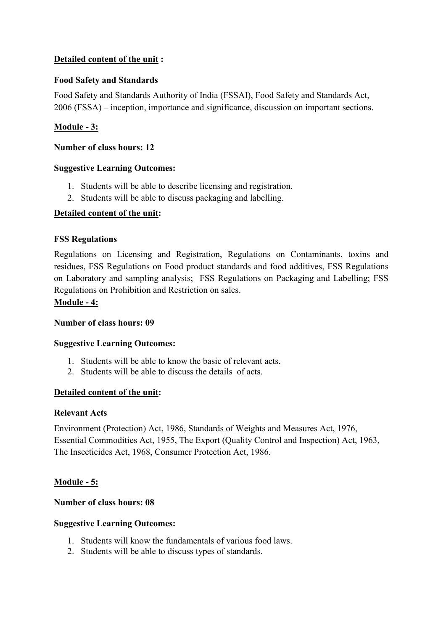# Detailed content of the unit :

# Food Safety and Standards

Food Safety and Standards Authority of India (FSSAI), Food Safety and Standards Act, 2006 (FSSA) – inception, importance and significance, discussion on important sections.

# Module - 3:

## Number of class hours: 12

## Suggestive Learning Outcomes:

- 1. Students will be able to describe licensing and registration.
- 2. Students will be able to discuss packaging and labelling.

# Detailed content of the unit:

## FSS Regulations

Regulations on Licensing and Registration, Regulations on Contaminants, toxins and residues, FSS Regulations on Food product standards and food additives, FSS Regulations on Laboratory and sampling analysis; FSS Regulations on Packaging and Labelling; FSS Regulations on Prohibition and Restriction on sales.

## Module - 4:

# Number of class hours: 09

### Suggestive Learning Outcomes:

- 1. Students will be able to know the basic of relevant acts.
- 2. Students will be able to discuss the details of acts.

### Detailed content of the unit:

### Relevant Acts

Environment (Protection) Act, 1986, Standards of Weights and Measures Act, 1976, Essential Commodities Act, 1955, The Export (Quality Control and Inspection) Act, 1963, The Insecticides Act, 1968, Consumer Protection Act, 1986.

# Module - 5:

### Number of class hours: 08

### Suggestive Learning Outcomes:

- 1. Students will know the fundamentals of various food laws.
- 2. Students will be able to discuss types of standards.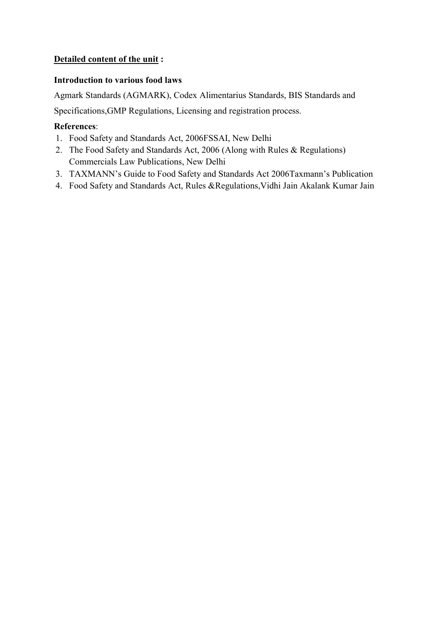# Detailed content of the unit :

# Introduction to various food laws

Agmark Standards (AGMARK), Codex Alimentarius Standards, BIS Standards and Specifications,GMP Regulations, Licensing and registration process.

# References:

- 1. Food Safety and Standards Act, 2006FSSAI, New Delhi
- 2. The Food Safety and Standards Act, 2006 (Along with Rules & Regulations) Commercials Law Publications, New Delhi
- 3. TAXMANN's Guide to Food Safety and Standards Act 2006Taxmann's Publication
- 4. Food Safety and Standards Act, Rules &Regulations,Vidhi Jain Akalank Kumar Jain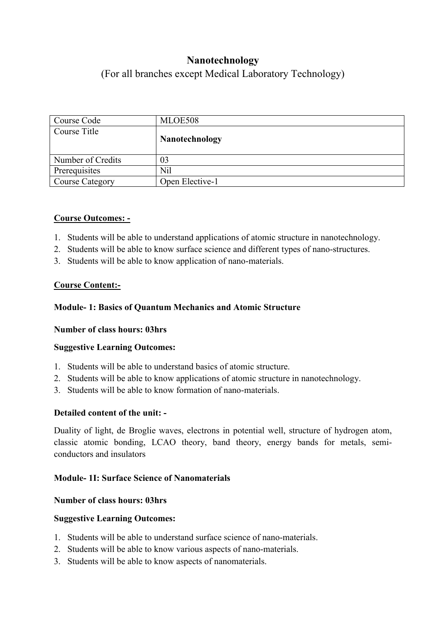# Nanotechnology

(For all branches except Medical Laboratory Technology)

| Course Code       | MLOE508               |
|-------------------|-----------------------|
| Course Title      |                       |
|                   | <b>Nanotechnology</b> |
|                   |                       |
| Number of Credits | 03                    |
| Prerequisites     | Nil                   |
| Course Category   | Open Elective-1       |

# Course Outcomes: -

- 1. Students will be able to understand applications of atomic structure in nanotechnology.
- 2. Students will be able to know surface science and different types of nano-structures.
- 3. Students will be able to know application of nano-materials.

# Course Content:-

# Module- 1: Basics of Quantum Mechanics and Atomic Structure

# Number of class hours: 03hrs

# Suggestive Learning Outcomes:

- 1. Students will be able to understand basics of atomic structure.
- 2. Students will be able to know applications of atomic structure in nanotechnology.
- 3. Students will be able to know formation of nano-materials.

# Detailed content of the unit: -

Duality of light, de Broglie waves, electrons in potential well, structure of hydrogen atom, classic atomic bonding, LCAO theory, band theory, energy bands for metals, semiconductors and insulators

# Module- 1I: Surface Science of Nanomaterials

# Number of class hours: 03hrs

# Suggestive Learning Outcomes:

- 1. Students will be able to understand surface science of nano-materials.
- 2. Students will be able to know various aspects of nano-materials.
- 3. Students will be able to know aspects of nanomaterials.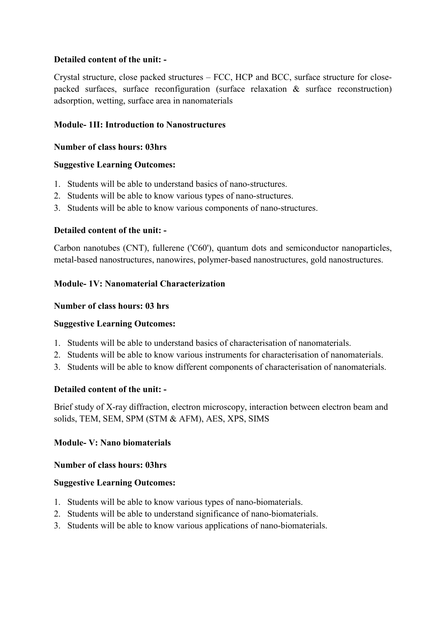# Detailed content of the unit: -

Crystal structure, close packed structures – FCC, HCP and BCC, surface structure for closepacked surfaces, surface reconfiguration (surface relaxation & surface reconstruction) adsorption, wetting, surface area in nanomaterials

# Module- 1II: Introduction to Nanostructures

# Number of class hours: 03hrs

# Suggestive Learning Outcomes:

- 1. Students will be able to understand basics of nano-structures.
- 2. Students will be able to know various types of nano-structures.
- 3. Students will be able to know various components of nano-structures.

# Detailed content of the unit: -

Carbon nanotubes (CNT), fullerene ('C60'), quantum dots and semiconductor nanoparticles, metal-based nanostructures, nanowires, polymer-based nanostructures, gold nanostructures.

# Module- 1V: Nanomaterial Characterization

# Number of class hours: 03 hrs

# Suggestive Learning Outcomes:

- 1. Students will be able to understand basics of characterisation of nanomaterials.
- 2. Students will be able to know various instruments for characterisation of nanomaterials.
- 3. Students will be able to know different components of characterisation of nanomaterials.

# Detailed content of the unit: -

Brief study of X-ray diffraction, electron microscopy, interaction between electron beam and solids, TEM, SEM, SPM (STM & AFM), AES, XPS, SIMS

# Module- V: Nano biomaterials

# Number of class hours: 03hrs

# Suggestive Learning Outcomes:

- 1. Students will be able to know various types of nano-biomaterials.
- 2. Students will be able to understand significance of nano-biomaterials.
- 3. Students will be able to know various applications of nano-biomaterials.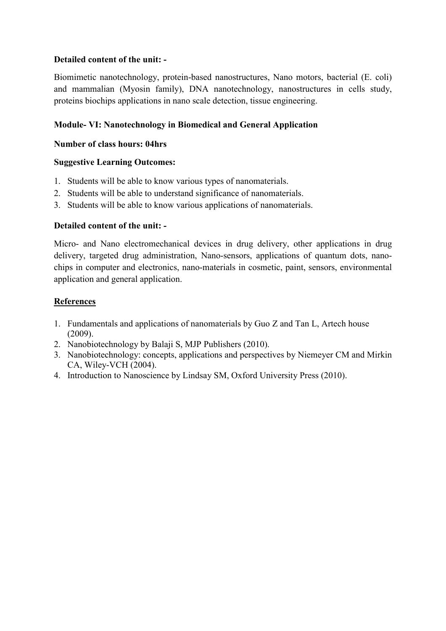# Detailed content of the unit: -

Biomimetic nanotechnology, protein-based nanostructures, Nano motors, bacterial (E. coli) and mammalian (Myosin family), DNA nanotechnology, nanostructures in cells study, proteins biochips applications in nano scale detection, tissue engineering.

# Module- VI: Nanotechnology in Biomedical and General Application

## Number of class hours: 04hrs

## Suggestive Learning Outcomes:

- 1. Students will be able to know various types of nanomaterials.
- 2. Students will be able to understand significance of nanomaterials.
- 3. Students will be able to know various applications of nanomaterials.

# Detailed content of the unit: -

Micro- and Nano electromechanical devices in drug delivery, other applications in drug delivery, targeted drug administration, Nano-sensors, applications of quantum dots, nanochips in computer and electronics, nano-materials in cosmetic, paint, sensors, environmental application and general application.

# References

- 1. Fundamentals and applications of nanomaterials by Guo Z and Tan L, Artech house (2009).
- 2. Nanobiotechnology by Balaji S, MJP Publishers (2010).
- 3. Nanobiotechnology: concepts, applications and perspectives by Niemeyer CM and Mirkin CA, Wiley-VCH (2004).
- 4. Introduction to Nanoscience by Lindsay SM, Oxford University Press (2010).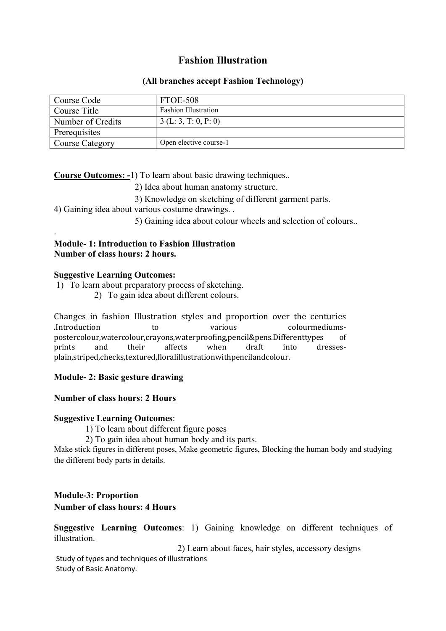# Fashion Illustration

## (All branches accept Fashion Technology)

| Course Code       | FTOE-508                    |
|-------------------|-----------------------------|
| Course Title      | <b>Fashion Illustration</b> |
| Number of Credits | 3(L: 3, T: 0, P: 0)         |
| Prerequisites     |                             |
| Course Category   | Open elective course-1      |

Course Outcomes: -1) To learn about basic drawing techniques..

- 2) Idea about human anatomy structure.
- 3) Knowledge on sketching of different garment parts.

4) Gaining idea about various costume drawings. .

5) Gaining idea about colour wheels and selection of colours..

## Module- 1: Introduction to Fashion Illustration Number of class hours: 2 hours.

## Suggestive Learning Outcomes:

.

- 1) To learn about preparatory process of sketching.
	- 2) To gain idea about different colours.

Changes in fashion Illustration styles and proportion over the centuries .Introduction to various colourmediumspostercolour,watercolour,crayons,waterproofing,pencil&pens.Differenttypes of prints and their affects when draft into dressesplain,striped,checks,textured,floralillustrationwithpencilandcolour.

# Module- 2: Basic gesture drawing

# Number of class hours: 2 Hours

### Suggestive Learning Outcomes:

1) To learn about different figure poses

2) To gain idea about human body and its parts.

Make stick figures in different poses, Make geometric figures, Blocking the human body and studying the different body parts in details.

#### Module-3: Proportion Number of class hours: 4 Hours

Suggestive Learning Outcomes: 1) Gaining knowledge on different techniques of illustration.

 2) Learn about faces, hair styles, accessory designs Study of types and techniques of illustrations Study of Basic Anatomy.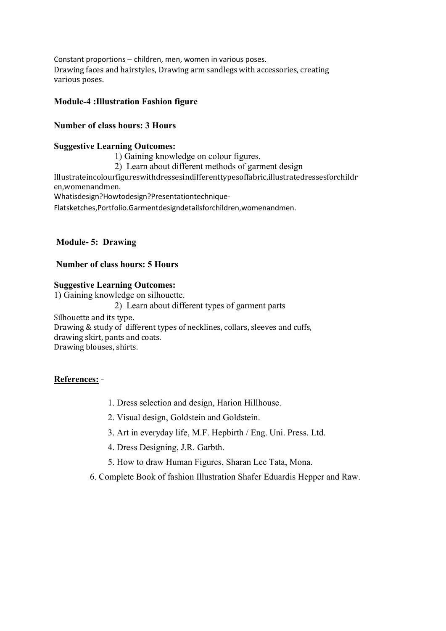Constant proportions  $-$  children, men, women in various poses. Drawing faces and hairstyles, Drawing arm sandlegs with accessories, creating various poses.

### Module-4 :Illustration Fashion figure

## Number of class hours: 3 Hours

#### Suggestive Learning Outcomes:

1) Gaining knowledge on colour figures.

2) Learn about different methods of garment design

Illustrateincolourfigureswithdressesindifferenttypesoffabric,illustratedressesforchildr en,womenandmen.

Whatisdesign?Howtodesign?Presentationtechnique-

Flatsketches,Portfolio.Garmentdesigndetailsforchildren,womenandmen.

## Module- 5: Drawing

## Number of class hours: 5 Hours

### Suggestive Learning Outcomes:

1) Gaining knowledge on silhouette. 2) Learn about different types of garment parts Silhouette and its type. Drawing & study of different types of necklines, collars, sleeves and cuffs, drawing skirt, pants and coats. Drawing blouses, shirts.

# References: -

- 1. Dress selection and design, Harion Hillhouse.
- 2. Visual design, Goldstein and Goldstein.
- 3. Art in everyday life, M.F. Hepbirth / Eng. Uni. Press. Ltd.
- 4. Dress Designing, J.R. Garbth.
- 5. How to draw Human Figures, Sharan Lee Tata, Mona.
- 6. Complete Book of fashion Illustration Shafer Eduardis Hepper and Raw.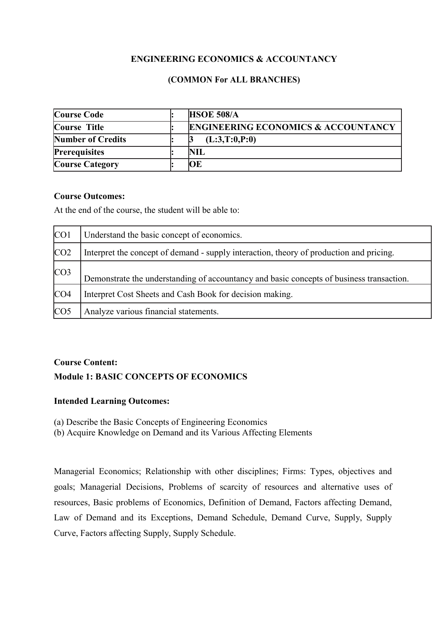# ENGINEERING ECONOMICS & ACCOUNTANCY

# (COMMON For ALL BRANCHES)

| Course Code              | <b>HSOE 508/A</b>                              |
|--------------------------|------------------------------------------------|
| Course Title             | <b>ENGINEERING ECONOMICS &amp; ACCOUNTANCY</b> |
| <b>Number of Credits</b> | (L:3,T:0,P:0)                                  |
| <b>Prerequisites</b>     | NIL                                            |
| <b>Course Category</b>   | ЮE                                             |

## Course Outcomes:

At the end of the course, the student will be able to:

| CO <sub>1</sub> | Understand the basic concept of economics.                                               |
|-----------------|------------------------------------------------------------------------------------------|
| CO <sub>2</sub> | Interpret the concept of demand - supply interaction, theory of production and pricing.  |
| CO <sub>3</sub> | Demonstrate the understanding of accountancy and basic concepts of business transaction. |
| CO <sub>4</sub> | Interpret Cost Sheets and Cash Book for decision making.                                 |
| CO <sub>5</sub> | Analyze various financial statements.                                                    |

# Course Content: Module 1: BASIC CONCEPTS OF ECONOMICS

# Intended Learning Outcomes:

(a) Describe the Basic Concepts of Engineering Economics

(b) Acquire Knowledge on Demand and its Various Affecting Elements

Managerial Economics; Relationship with other disciplines; Firms: Types, objectives and goals; Managerial Decisions, Problems of scarcity of resources and alternative uses of resources, Basic problems of Economics, Definition of Demand, Factors affecting Demand, Law of Demand and its Exceptions, Demand Schedule, Demand Curve, Supply, Supply Curve, Factors affecting Supply, Supply Schedule.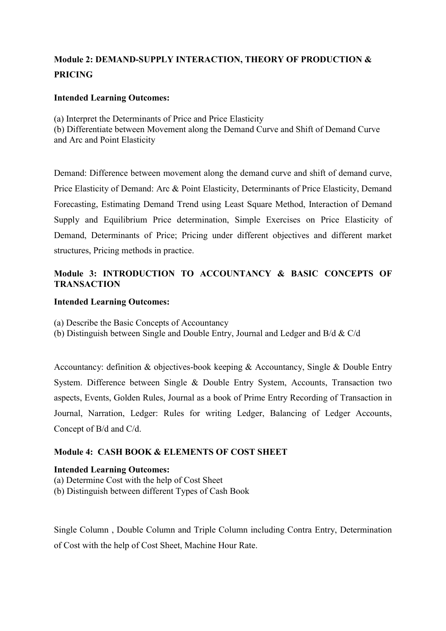## Module 2: DEMAND-SUPPLY INTERACTION, THEORY OF PRODUCTION & PRICING

### Intended Learning Outcomes:

(a) Interpret the Determinants of Price and Price Elasticity

(b) Differentiate between Movement along the Demand Curve and Shift of Demand Curve and Arc and Point Elasticity

Demand: Difference between movement along the demand curve and shift of demand curve, Price Elasticity of Demand: Arc & Point Elasticity, Determinants of Price Elasticity, Demand Forecasting, Estimating Demand Trend using Least Square Method, Interaction of Demand Supply and Equilibrium Price determination, Simple Exercises on Price Elasticity of Demand, Determinants of Price; Pricing under different objectives and different market structures, Pricing methods in practice.

### Module 3: INTRODUCTION TO ACCOUNTANCY & BASIC CONCEPTS OF **TRANSACTION**

### Intended Learning Outcomes:

(a) Describe the Basic Concepts of Accountancy

(b) Distinguish between Single and Double Entry, Journal and Ledger and B/d & C/d

Accountancy: definition & objectives-book keeping & Accountancy, Single & Double Entry System. Difference between Single & Double Entry System, Accounts, Transaction two aspects, Events, Golden Rules, Journal as a book of Prime Entry Recording of Transaction in Journal, Narration, Ledger: Rules for writing Ledger, Balancing of Ledger Accounts, Concept of B/d and C/d.

### Module 4: CASH BOOK & ELEMENTS OF COST SHEET

#### Intended Learning Outcomes:

- (a) Determine Cost with the help of Cost Sheet
- (b) Distinguish between different Types of Cash Book

Single Column , Double Column and Triple Column including Contra Entry, Determination of Cost with the help of Cost Sheet, Machine Hour Rate.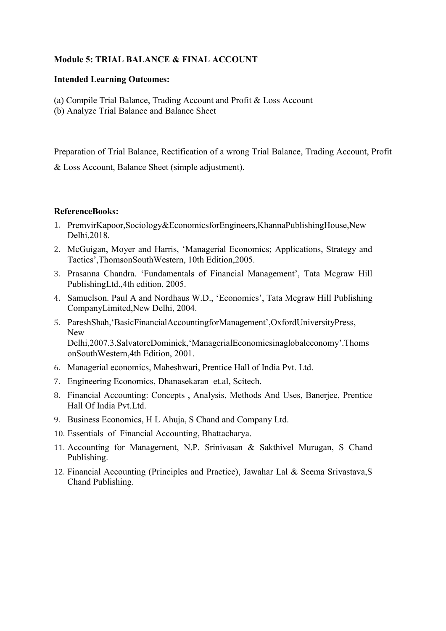### Module 5: TRIAL BALANCE & FINAL ACCOUNT

#### Intended Learning Outcomes:

- (a) Compile Trial Balance, Trading Account and Profit & Loss Account
- (b) Analyze Trial Balance and Balance Sheet

Preparation of Trial Balance, Rectification of a wrong Trial Balance, Trading Account, Profit

& Loss Account, Balance Sheet (simple adjustment).

### ReferenceBooks:

- 1. PremvirKapoor,Sociology&EconomicsforEngineers,KhannaPublishingHouse,New Delhi,2018.
- 2. McGuigan, Moyer and Harris, 'Managerial Economics; Applications, Strategy and Tactics',ThomsonSouthWestern, 10th Edition,2005.
- 3. Prasanna Chandra. 'Fundamentals of Financial Management', Tata Mcgraw Hill PublishingLtd.,4th edition, 2005.
- 4. Samuelson. Paul A and Nordhaus W.D., 'Economics', Tata Mcgraw Hill Publishing CompanyLimited,New Delhi, 2004.
- 5. PareshShah,'BasicFinancialAccountingforManagement',OxfordUniversityPress, New Delhi,2007.3.SalvatoreDominick,'ManagerialEconomicsinaglobaleconomy'.Thoms onSouthWestern,4th Edition, 2001.
- 6. Managerial economics, Maheshwari, Prentice Hall of India Pvt. Ltd.
- 7. Engineering Economics, Dhanasekaran et.al, Scitech.
- 8. Financial Accounting: Concepts , Analysis, Methods And Uses, Banerjee, Prentice Hall Of India Pvt.Ltd.
- 9. Business Economics, H L Ahuja, S Chand and Company Ltd.
- 10. Essentials of Financial Accounting, Bhattacharya.
- 11. Accounting for Management, N.P. Srinivasan & Sakthivel Murugan, S Chand Publishing.
- 12. Financial Accounting (Principles and Practice), Jawahar Lal & Seema Srivastava,S Chand Publishing.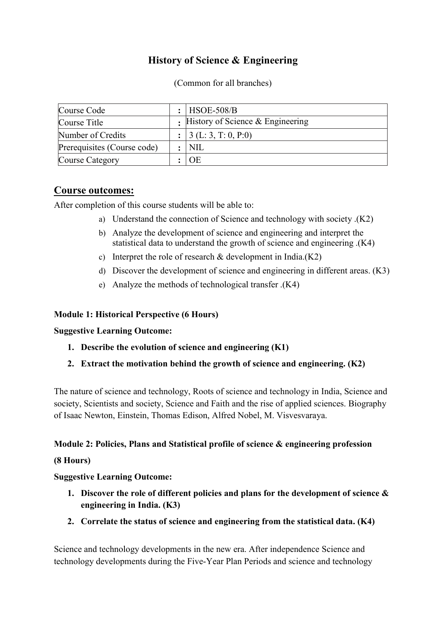## History of Science & Engineering

(Common for all branches)

| Course Code                 | : $HSOE-508/B$                       |
|-----------------------------|--------------------------------------|
| Course Title                | : History of Science $&$ Engineering |
| Number of Credits           | : 3(L: 3, T: 0, P: 0)                |
| Prerequisites (Course code) | NIL                                  |
| Course Category             | OE                                   |

### Course outcomes:

After completion of this course students will be able to:

- a) Understand the connection of Science and technology with society .(K2)
- b) Analyze the development of science and engineering and interpret the statistical data to understand the growth of science and engineering .(K4)
- c) Interpret the role of research  $&$  development in India.(K2)
- d) Discover the development of science and engineering in different areas. (K3)
- e) Analyze the methods of technological transfer .(K4)

### Module 1: Historical Perspective (6 Hours)

### Suggestive Learning Outcome:

- 1. Describe the evolution of science and engineering (K1)
- 2. Extract the motivation behind the growth of science and engineering. (K2)

The nature of science and technology, Roots of science and technology in India, Science and society, Scientists and society, Science and Faith and the rise of applied sciences. Biography of Isaac Newton, Einstein, Thomas Edison, Alfred Nobel, M. Visvesvaraya.

### Module 2: Policies, Plans and Statistical profile of science & engineering profession

### (8 Hours)

### Suggestive Learning Outcome:

- 1. Discover the role of different policies and plans for the development of science  $\&$ engineering in India. (K3)
- 2. Correlate the status of science and engineering from the statistical data. (K4)

Science and technology developments in the new era. After independence Science and technology developments during the Five-Year Plan Periods and science and technology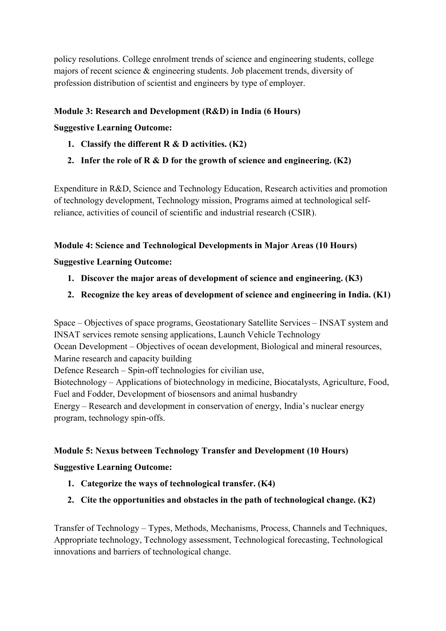policy resolutions. College enrolment trends of science and engineering students, college majors of recent science & engineering students. Job placement trends, diversity of profession distribution of scientist and engineers by type of employer.

### Module 3: Research and Development (R&D) in India (6 Hours)

### Suggestive Learning Outcome:

- 1. Classify the different  $R & D$  activities. (K2)
- 2. Infer the role of R  $\&$  D for the growth of science and engineering. (K2)

Expenditure in R&D, Science and Technology Education, Research activities and promotion of technology development, Technology mission, Programs aimed at technological selfreliance, activities of council of scientific and industrial research (CSIR).

### Module 4: Science and Technological Developments in Major Areas (10 Hours)

### Suggestive Learning Outcome:

- 1. Discover the major areas of development of science and engineering. (K3)
- 2. Recognize the key areas of development of science and engineering in India. (K1)

Space – Objectives of space programs, Geostationary Satellite Services – INSAT system and INSAT services remote sensing applications, Launch Vehicle Technology Ocean Development – Objectives of ocean development, Biological and mineral resources, Marine research and capacity building Defence Research – Spin-off technologies for civilian use, Biotechnology – Applications of biotechnology in medicine, Biocatalysts, Agriculture, Food, Fuel and Fodder, Development of biosensors and animal husbandry Energy – Research and development in conservation of energy, India's nuclear energy program, technology spin-offs.

### Module 5: Nexus between Technology Transfer and Development (10 Hours)

### Suggestive Learning Outcome:

- 1. Categorize the ways of technological transfer. (K4)
- 2. Cite the opportunities and obstacles in the path of technological change. (K2)

Transfer of Technology – Types, Methods, Mechanisms, Process, Channels and Techniques, Appropriate technology, Technology assessment, Technological forecasting, Technological innovations and barriers of technological change.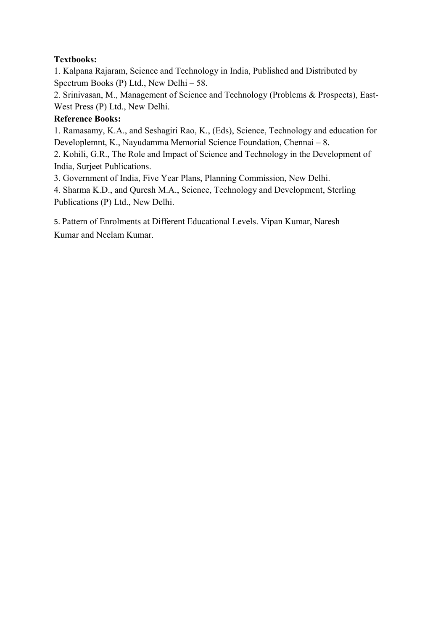## Textbooks:

1. Kalpana Rajaram, Science and Technology in India, Published and Distributed by Spectrum Books (P) Ltd., New Delhi – 58.

2. Srinivasan, M., Management of Science and Technology (Problems & Prospects), East-West Press (P) Ltd., New Delhi.

### Reference Books:

1. Ramasamy, K.A., and Seshagiri Rao, K., (Eds), Science, Technology and education for Developlemnt, K., Nayudamma Memorial Science Foundation, Chennai – 8.

2. Kohili, G.R., The Role and Impact of Science and Technology in the Development of India, Surjeet Publications.

3. Government of India, Five Year Plans, Planning Commission, New Delhi.

4. Sharma K.D., and Quresh M.A., Science, Technology and Development, Sterling Publications (P) Ltd., New Delhi.

5. Pattern of Enrolments at Different Educational Levels. Vipan Kumar, Naresh Kumar and Neelam Kumar.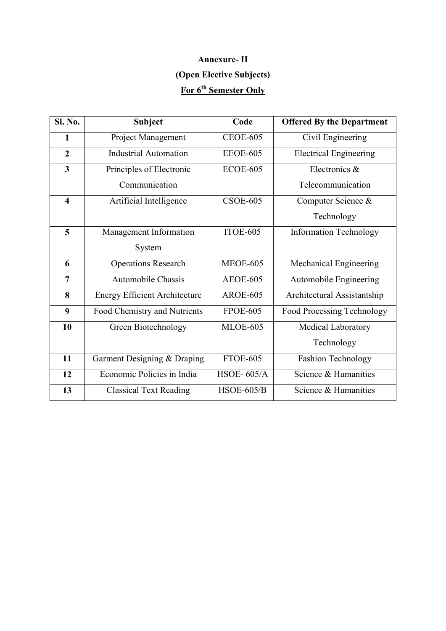# Annexure- II (Open Elective Subjects) For 6<sup>th</sup> Semester Only

| Sl. No.                 | <b>Subject</b>                       | Code              | <b>Offered By the Department</b> |
|-------------------------|--------------------------------------|-------------------|----------------------------------|
| $\mathbf{1}$            | Project Management                   | <b>CEOE-605</b>   | Civil Engineering                |
| $\overline{2}$          | <b>Industrial Automation</b>         | <b>EEOE-605</b>   | <b>Electrical Engineering</b>    |
| $\overline{\mathbf{3}}$ | Principles of Electronic             | <b>ECOE-605</b>   | Electronics &                    |
|                         | Communication                        |                   | Telecommunication                |
| $\overline{\mathbf{4}}$ | Artificial Intelligence              | $CSOE-605$        | Computer Science &               |
|                         |                                      |                   | Technology                       |
| 5                       | Management Information               | ITOE-605          | <b>Information Technology</b>    |
|                         | System                               |                   |                                  |
| 6                       | <b>Operations Research</b>           | <b>MEOE-605</b>   | Mechanical Engineering           |
| $\overline{7}$          | <b>Automobile Chassis</b>            | <b>AEOE-605</b>   | Automobile Engineering           |
| 8                       | <b>Energy Efficient Architecture</b> | <b>AROE-605</b>   | Architectural Assistantship      |
| 9                       | Food Chemistry and Nutrients         | <b>FPOE-605</b>   | Food Processing Technology       |
| 10                      | Green Biotechnology                  | <b>MLOE-605</b>   | Medical Laboratory               |
|                         |                                      |                   | Technology                       |
| 11                      | Garment Designing & Draping          | <b>FTOE-605</b>   | <b>Fashion Technology</b>        |
| 12                      | Economic Policies in India           | <b>HSOE-605/A</b> | Science & Humanities             |
| 13                      | <b>Classical Text Reading</b>        | $HSOE-605/B$      | Science & Humanities             |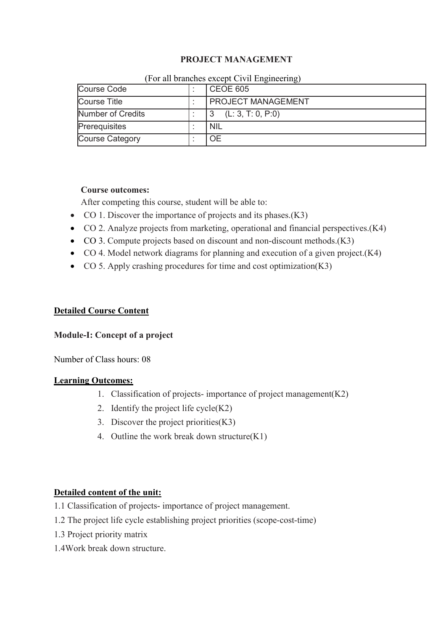### PROJECT MANAGEMENT

| ر ب               |  |                           |
|-------------------|--|---------------------------|
| Course Code       |  | <b>CEOE 605</b>           |
| Course Title      |  | <b>PROJECT MANAGEMENT</b> |
| Number of Credits |  | (L: 3, T: 0, P:0)         |
| Prerequisites     |  | <b>NIL</b>                |
| Course Category   |  | <b>OE</b>                 |

#### (For all branches except Civil Engineering)

### Course outcomes:

After competing this course, student will be able to:

- CO 1. Discover the importance of projects and its phases.(K3)
- CO 2. Analyze projects from marketing, operational and financial perspectives.(K4)
- CO 3. Compute projects based on discount and non-discount methods.(K3)
- CO 4. Model network diagrams for planning and execution of a given project.(K4)
- CO 5. Apply crashing procedures for time and cost optimization(K3)

### Detailed Course Content

#### Module-I: Concept of a project

Number of Class hours: 08

#### Learning Outcomes:

- 1. Classification of projects- importance of project management(K2)
- 2. Identify the project life cycle(K2)
- 3. Discover the project priorities(K3)
- 4. Outline the work break down structure(K1)

### Detailed content of the unit:

- 1.1 Classification of projects- importance of project management.
- 1.2 The project life cycle establishing project priorities (scope-cost-time)
- 1.3 Project priority matrix
- 1.4Work break down structure.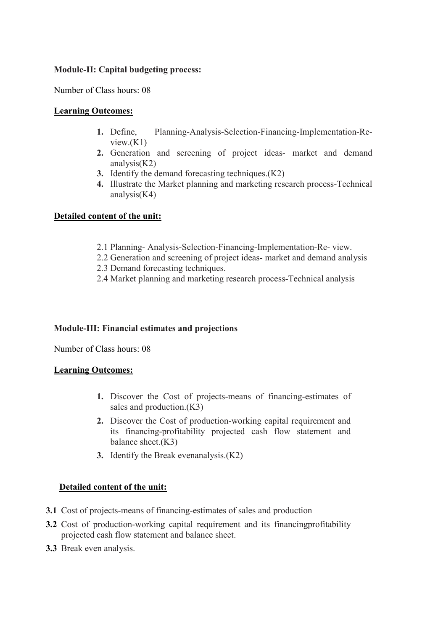### Module-II: Capital budgeting process:

Number of Class hours: 08

### Learning Outcomes:

- 1. Define, Planning-Analysis-Selection-Financing-Implementation-Review.(K1)
- 2. Generation and screening of project ideas- market and demand analysis(K2)
- 3. Identify the demand forecasting techniques.(K2)
- 4. Illustrate the Market planning and marketing research process-Technical analysis $(K4)$

### Detailed content of the unit:

- 2.1 Planning- Analysis-Selection-Financing-Implementation-Re- view.
- 2.2 Generation and screening of project ideas- market and demand analysis
- 2.3 Demand forecasting techniques.
- 2.4 Market planning and marketing research process-Technical analysis

### Module-III: Financial estimates and projections

Number of Class hours: 08

#### Learning Outcomes:

- 1. Discover the Cost of projects-means of financing-estimates of sales and production.(K3)
- 2. Discover the Cost of production-working capital requirement and its financing-profitability projected cash flow statement and balance sheet.(K3)
- 3. Identify the Break evenanalysis.(K2)

### Detailed content of the unit:

- 3.1 Cost of projects-means of financing-estimates of sales and production
- 3.2 Cost of production-working capital requirement and its financingprofitability projected cash flow statement and balance sheet.
- 3.3 Break even analysis.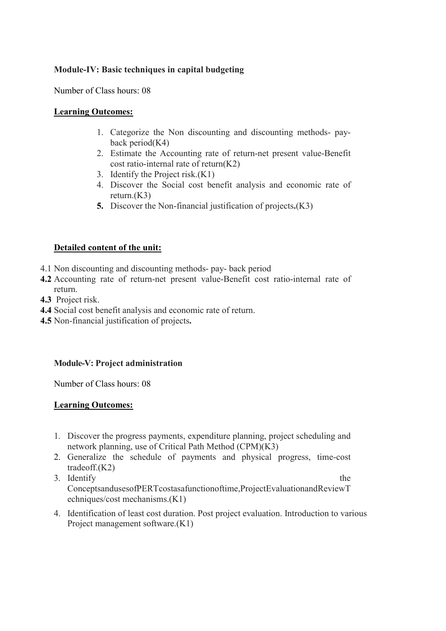### Module-IV: Basic techniques in capital budgeting

Number of Class hours: 08

### Learning Outcomes:

- 1. Categorize the Non discounting and discounting methods- payback period $(K4)$
- 2. Estimate the Accounting rate of return-net present value-Benefit cost ratio-internal rate of return(K2)
- 3. Identify the Project risk.(K1)
- 4. Discover the Social cost benefit analysis and economic rate of return.(K3)
- 5. Discover the Non-financial justification of projects.(K3)

### Detailed content of the unit:

- 4.1 Non discounting and discounting methods- pay- back period
- 4.2 Accounting rate of return-net present value-Benefit cost ratio-internal rate of return.
- 4.3 Project risk.
- 4.4 Social cost benefit analysis and economic rate of return.
- 4.5 Non-financial justification of projects.

### Module-V: Project administration

Number of Class hours: 08

### Learning Outcomes:

- 1. Discover the progress payments, expenditure planning, project scheduling and network planning, use of Critical Path Method (CPM)(K3)
- 2. Generalize the schedule of payments and physical progress, time-cost tradeoff.(K2)
- 3. Identify the ConceptsandusesofPERTcostasafunctionoftime,ProjectEvaluationandReviewT echniques/cost mechanisms.(K1)
- 4. Identification of least cost duration. Post project evaluation. Introduction to various Project management software.(K1)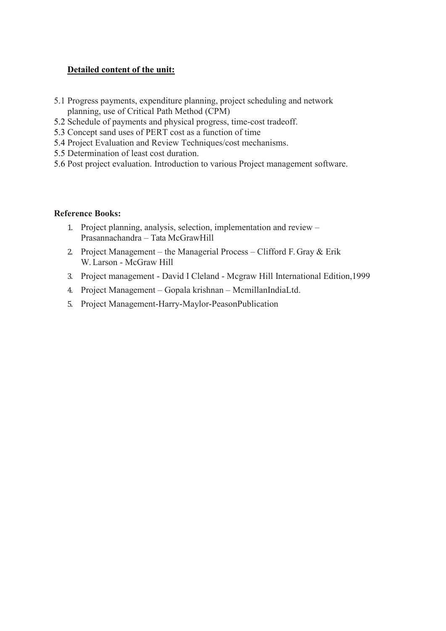### Detailed content of the unit:

- 5.1 Progress payments, expenditure planning, project scheduling and network planning, use of Critical Path Method (CPM)
- 5.2 Schedule of payments and physical progress, time-cost tradeoff.
- 5.3 Concept sand uses of PERT cost as a function of time
- 5.4 Project Evaluation and Review Techniques/cost mechanisms.
- 5.5 Determination of least cost duration.
- 5.6 Post project evaluation. Introduction to various Project management software.

### Reference Books:

- 1. Project planning, analysis, selection, implementation and review Prasannachandra – Tata McGrawHill
- 2. Project Management the Managerial Process Clifford F. Gray  $&$  Erik W. Larson - McGraw Hill
- 3. Project management David I Cleland Mcgraw Hill International Edition,1999
- 4. Project Management Gopala krishnan McmillanIndiaLtd.
- 5. Project Management-Harry-Maylor-PeasonPublication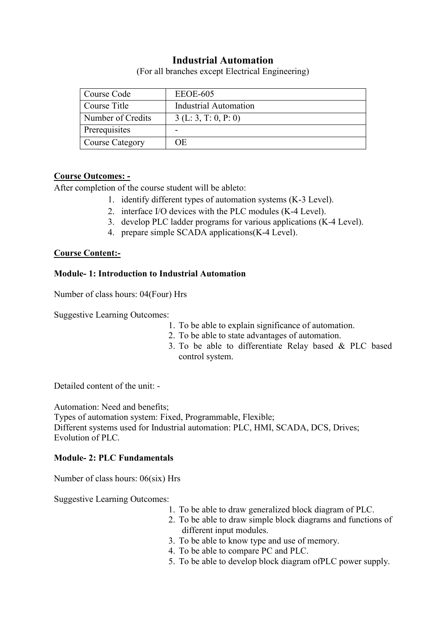## Industrial Automation

(For all branches except Electrical Engineering)

| Course Code            | EEOE-605                     |
|------------------------|------------------------------|
| Course Title           | <b>Industrial Automation</b> |
| Number of Credits      | 3(L: 3, T: 0, P: 0)          |
| <b>Prerequisites</b>   | -                            |
| <b>Course Category</b> | OE.                          |

### Course Outcomes: -

After completion of the course student will be ableto:

- 1. identify different types of automation systems (K-3 Level).
- 2. interface I/O devices with the PLC modules (K-4 Level).
- 3. develop PLC ladder programs for various applications (K-4 Level).
- 4. prepare simple SCADA applications(K-4 Level).

### Course Content:-

### Module- 1: Introduction to Industrial Automation

Number of class hours: 04(Four) Hrs

Suggestive Learning Outcomes:

- 1. To be able to explain significance of automation.
- 2. To be able to state advantages of automation.
- 3. To be able to differentiate Relay based & PLC based control system.

Detailed content of the unit: -

Automation: Need and benefits:

Types of automation system: Fixed, Programmable, Flexible; Different systems used for Industrial automation: PLC, HMI, SCADA, DCS, Drives; Evolution of PLC.

### Module- 2: PLC Fundamentals

Number of class hours: 06(six) Hrs

Suggestive Learning Outcomes:

- 1. To be able to draw generalized block diagram of PLC.
- 2. To be able to draw simple block diagrams and functions of different input modules.
- 3. To be able to know type and use of memory.
- 4. To be able to compare PC and PLC.
- 5. To be able to develop block diagram ofPLC power supply.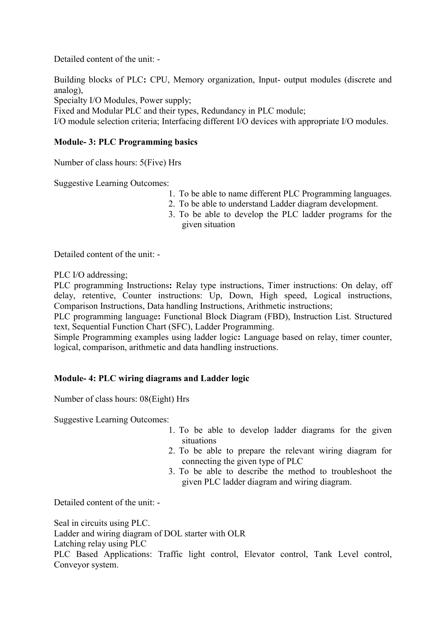Detailed content of the unit: -

Building blocks of PLC: CPU, Memory organization, Input- output modules (discrete and analog),

Specialty I/O Modules, Power supply;

Fixed and Modular PLC and their types, Redundancy in PLC module;

I/O module selection criteria; Interfacing different I/O devices with appropriate I/O modules.

### Module- 3: PLC Programming basics

Number of class hours: 5(Five) Hrs

Suggestive Learning Outcomes:

- 1. To be able to name different PLC Programming languages.
- 2. To be able to understand Ladder diagram development.
- 3. To be able to develop the PLC ladder programs for the given situation

Detailed content of the unit: -

PLC I/O addressing;

PLC programming Instructions: Relay type instructions, Timer instructions: On delay, off delay, retentive, Counter instructions: Up, Down, High speed, Logical instructions, Comparison Instructions, Data handling Instructions, Arithmetic instructions;

PLC programming language: Functional Block Diagram (FBD), Instruction List. Structured text, Sequential Function Chart (SFC), Ladder Programming.

Simple Programming examples using ladder logic: Language based on relay, timer counter, logical, comparison, arithmetic and data handling instructions.

### Module- 4: PLC wiring diagrams and Ladder logic

Number of class hours: 08(Eight) Hrs

Suggestive Learning Outcomes:

- 1. To be able to develop ladder diagrams for the given situations
- 2. To be able to prepare the relevant wiring diagram for connecting the given type of PLC
- 3. To be able to describe the method to troubleshoot the given PLC ladder diagram and wiring diagram.

Detailed content of the unit: -

Seal in circuits using PLC. Ladder and wiring diagram of DOL starter with OLR Latching relay using PLC

PLC Based Applications: Traffic light control, Elevator control, Tank Level control, Conveyor system.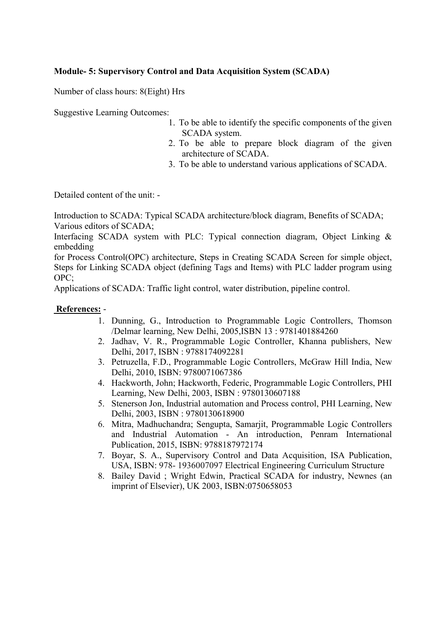### Module- 5: Supervisory Control and Data Acquisition System (SCADA)

Number of class hours: 8(Eight) Hrs

Suggestive Learning Outcomes:

- 1. To be able to identify the specific components of the given SCADA system.
- 2. To be able to prepare block diagram of the given architecture of SCADA.
- 3. To be able to understand various applications of SCADA.

Detailed content of the unit: -

Introduction to SCADA: Typical SCADA architecture/block diagram, Benefits of SCADA; Various editors of SCADA;

Interfacing SCADA system with PLC: Typical connection diagram, Object Linking & embedding

for Process Control(OPC) architecture, Steps in Creating SCADA Screen for simple object, Steps for Linking SCADA object (defining Tags and Items) with PLC ladder program using OPC;

Applications of SCADA: Traffic light control, water distribution, pipeline control.

### References: -

- 1. Dunning, G., Introduction to Programmable Logic Controllers, Thomson /Delmar learning, New Delhi, 2005,ISBN 13 : 9781401884260
- 2. Jadhav, V. R., Programmable Logic Controller, Khanna publishers, New Delhi, 2017, ISBN : 9788174092281
- 3. Petruzella, F.D., Programmable Logic Controllers, McGraw Hill India, New Delhi, 2010, ISBN: 9780071067386
- 4. Hackworth, John; Hackworth, Federic, Programmable Logic Controllers, PHI Learning, New Delhi, 2003, ISBN : 9780130607188
- 5. Stenerson Jon, Industrial automation and Process control, PHI Learning, New Delhi, 2003, ISBN : 9780130618900
- 6. Mitra, Madhuchandra; Sengupta, Samarjit, Programmable Logic Controllers and Industrial Automation - An introduction, Penram International Publication, 2015, ISBN: 9788187972174
- 7. Boyar, S. A., Supervisory Control and Data Acquisition, ISA Publication, USA, ISBN: 978- 1936007097 Electrical Engineering Curriculum Structure
- 8. Bailey David ; Wright Edwin, Practical SCADA for industry, Newnes (an imprint of Elsevier), UK 2003, ISBN:0750658053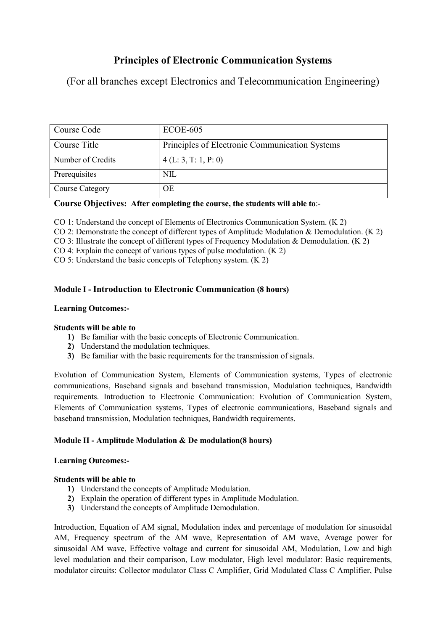## Principles of Electronic Communication Systems

(For all branches except Electronics and Telecommunication Engineering)

| Course Code            | $ECOE-605$                                     |
|------------------------|------------------------------------------------|
| Course Title           | Principles of Electronic Communication Systems |
| Number of Credits      | 4(L: 3, T: 1, P: 0)                            |
| Prerequisites          | NIL                                            |
| <b>Course Category</b> | ΟE                                             |

### Course Objectives: After completing the course, the students will able to:-

CO 1: Understand the concept of Elements of Electronics Communication System. (K 2)

CO 2: Demonstrate the concept of different types of Amplitude Modulation & Demodulation. (K 2)

CO 3: Illustrate the concept of different types of Frequency Modulation & Demodulation. (K 2)

CO 4: Explain the concept of various types of pulse modulation. (K 2)

CO 5: Understand the basic concepts of Telephony system. (K 2)

### Module I - Introduction to Electronic Communication (8 hours)

### Learning Outcomes:-

#### Students will be able to

1) Be familiar with the basic concepts of Electronic Communication.

- 2) Understand the modulation techniques.
- 3) Be familiar with the basic requirements for the transmission of signals.

Evolution of Communication System, Elements of Communication systems, Types of electronic communications, Baseband signals and baseband transmission, Modulation techniques, Bandwidth requirements. Introduction to Electronic Communication: Evolution of Communication System, Elements of Communication systems, Types of electronic communications, Baseband signals and baseband transmission, Modulation techniques, Bandwidth requirements.

### Module II - Amplitude Modulation & De modulation(8 hours)

#### Learning Outcomes:-

#### Students will be able to

- 1) Understand the concepts of Amplitude Modulation.
- 2) Explain the operation of different types in Amplitude Modulation.
- 3) Understand the concepts of Amplitude Demodulation.

Introduction, Equation of AM signal, Modulation index and percentage of modulation for sinusoidal AM, Frequency spectrum of the AM wave, Representation of AM wave, Average power for sinusoidal AM wave, Effective voltage and current for sinusoidal AM, Modulation, Low and high level modulation and their comparison, Low modulator, High level modulator: Basic requirements, modulator circuits: Collector modulator Class C Amplifier, Grid Modulated Class C Amplifier, Pulse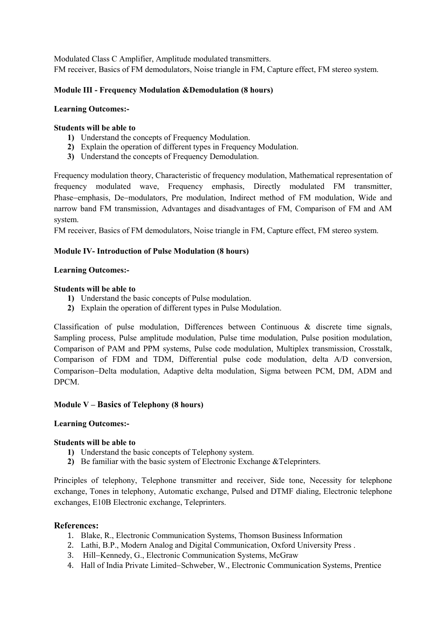Modulated Class C Amplifier, Amplitude modulated transmitters. FM receiver, Basics of FM demodulators, Noise triangle in FM, Capture effect, FM stereo system.

#### Module III - Frequency Modulation &Demodulation (8 hours)

#### Learning Outcomes:-

#### Students will be able to

- 1) Understand the concepts of Frequency Modulation.
- 2) Explain the operation of different types in Frequency Modulation.
- 3) Understand the concepts of Frequency Demodulation.

Frequency modulation theory, Characteristic of frequency modulation, Mathematical representation of frequency modulated wave, Frequency emphasis, Directly modulated FM transmitter, Phase–emphasis, De–modulators, Pre modulation, Indirect method of FM modulation, Wide and narrow band FM transmission, Advantages and disadvantages of FM, Comparison of FM and AM system.

FM receiver, Basics of FM demodulators, Noise triangle in FM, Capture effect, FM stereo system.

#### Module IV- Introduction of Pulse Modulation (8 hours)

#### Learning Outcomes:-

#### Students will be able to

- 1) Understand the basic concepts of Pulse modulation.
- 2) Explain the operation of different types in Pulse Modulation.

Classification of pulse modulation, Differences between Continuous & discrete time signals, Sampling process, Pulse amplitude modulation, Pulse time modulation, Pulse position modulation, Comparison of PAM and PPM systems, Pulse code modulation, Multiplex transmission, Crosstalk, Comparison of FDM and TDM, Differential pulse code modulation, delta A/D conversion, Comparison–Delta modulation, Adaptive delta modulation, Sigma between PCM, DM, ADM and DPCM.

#### Module V – Basics of Telephony (8 hours)

#### Learning Outcomes:-

#### Students will be able to

- 1) Understand the basic concepts of Telephony system.
- 2) Be familiar with the basic system of Electronic Exchange &Teleprinters.

Principles of telephony, Telephone transmitter and receiver, Side tone, Necessity for telephone exchange, Tones in telephony, Automatic exchange, Pulsed and DTMF dialing, Electronic telephone exchanges, E10B Electronic exchange, Teleprinters.

#### References:

- 1. Blake, R., Electronic Communication Systems, Thomson Business Information
- 2. Lathi, B.P., Modern Analog and Digital Communication, Oxford University Press .
- 3. Hill–Kennedy, G., Electronic Communication Systems, McGraw
- 4. Hall of India Private Limited–Schweber, W., Electronic Communication Systems, Prentice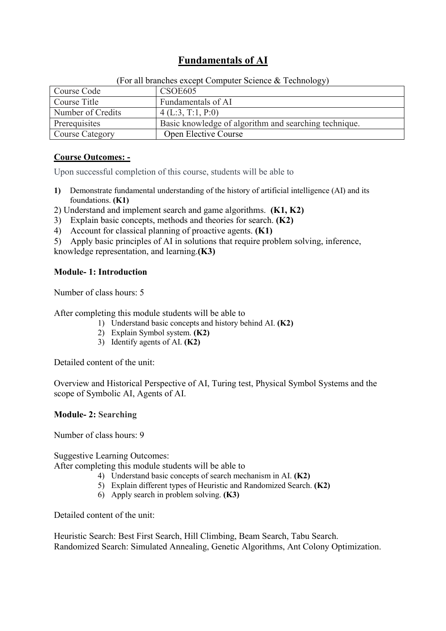## Fundamentals of AI

| Course Code            | $\sim$ 0. an oranging except compared before $\alpha$ reemforts,<br>CSOE605 |
|------------------------|-----------------------------------------------------------------------------|
| Course Title           | Fundamentals of AI                                                          |
| Number of Credits      | 4(L:3, T:1, P:0)                                                            |
| Prerequisites          | Basic knowledge of algorithm and searching technique.                       |
| <b>Course Category</b> | <b>Open Elective Course</b>                                                 |

(For all branches except Computer Science  $\&$  Technology)

### Course Outcomes: -

Upon successful completion of this course, students will be able to

1) Demonstrate fundamental understanding of the history of artificial intelligence (AI) and its foundations. (K1)

2) Understand and implement search and game algorithms. (K1, K2)

- 3) Explain basic concepts, methods and theories for search. (K2)
- 4) Account for classical planning of proactive agents. (K1)

5) Apply basic principles of AI in solutions that require problem solving, inference,

knowledge representation, and learning.(K3)

### Module- 1: Introduction

Number of class hours: 5

After completing this module students will be able to

- 1) Understand basic concepts and history behind AI. (K2)
- 2) Explain Symbol system. (K2)
- 3) Identify agents of AI. (K2)

Detailed content of the unit:

Overview and Historical Perspective of AI, Turing test, Physical Symbol Systems and the scope of Symbolic AI, Agents of AI.

### Module- 2: Searching

Number of class hours: 9

Suggestive Learning Outcomes:

After completing this module students will be able to

- 4) Understand basic concepts of search mechanism in AI. (K2)
- 5) Explain different types of Heuristic and Randomized Search. (K2)
- 6) Apply search in problem solving. (K3)

Detailed content of the unit:

Heuristic Search: Best First Search, Hill Climbing, Beam Search, Tabu Search. Randomized Search: Simulated Annealing, Genetic Algorithms, Ant Colony Optimization.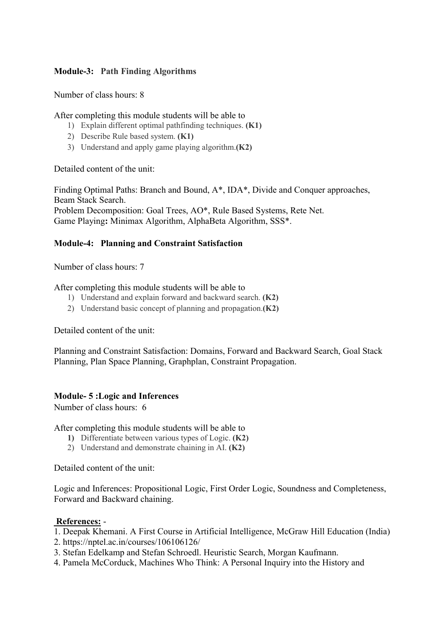### Module-3: Path Finding Algorithms

Number of class hours: 8

After completing this module students will be able to

- 1) Explain different optimal pathfinding techniques. (K1)
- 2) Describe Rule based system. (K1)
- 3) Understand and apply game playing algorithm.(K2)

Detailed content of the unit:

Finding Optimal Paths: Branch and Bound, A\*, IDA\*, Divide and Conquer approaches, Beam Stack Search. Problem Decomposition: Goal Trees, AO\*, Rule Based Systems, Rete Net.

Game Playing: Minimax Algorithm, AlphaBeta Algorithm, SSS\*.

### Module-4: Planning and Constraint Satisfaction

Number of class hours: 7

After completing this module students will be able to

- 1) Understand and explain forward and backward search. (K2)
- 2) Understand basic concept of planning and propagation.(K2)

Detailed content of the unit:

Planning and Constraint Satisfaction: Domains, Forward and Backward Search, Goal Stack Planning, Plan Space Planning, Graphplan, Constraint Propagation.

### Module- 5 :Logic and Inferences

Number of class hours: 6

After completing this module students will be able to

- 1) Differentiate between various types of Logic. (K2)
- 2) Understand and demonstrate chaining in AI. (K2)

Detailed content of the unit:

Logic and Inferences: Propositional Logic, First Order Logic, Soundness and Completeness, Forward and Backward chaining.

### References: -

- 1. Deepak Khemani. A First Course in Artificial Intelligence, McGraw Hill Education (India)
- 2. https://nptel.ac.in/courses/106106126/
- 3. Stefan Edelkamp and Stefan Schroedl. Heuristic Search, Morgan Kaufmann.
- 4. Pamela McCorduck, Machines Who Think: A Personal Inquiry into the History and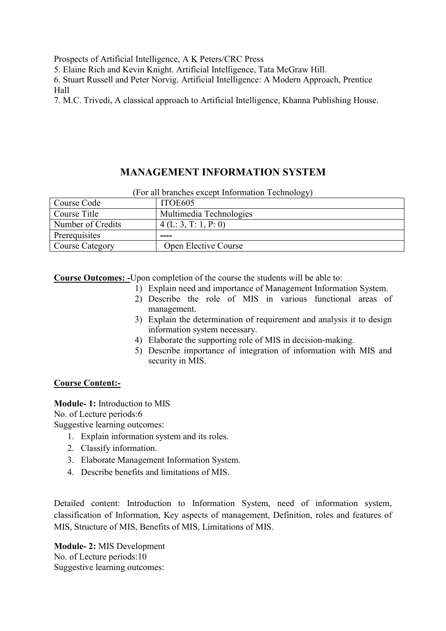Prospects of Artificial Intelligence, A K Peters/CRC Press

5. Elaine Rich and Kevin Knight. Artificial Intelligence, Tata McGraw Hill.

6. Stuart Russell and Peter Norvig. Artificial Intelligence: A Modern Approach, Prentice Hall

7. M.C. Trivedi, A classical approach to Artificial Intelligence, Khanna Publishing House.

## MANAGEMENT INFORMATION SYSTEM

|                   | ر رب                        |
|-------------------|-----------------------------|
| Course Code       | ITOE605                     |
| Course Title      | Multimedia Technologies     |
| Number of Credits | 4(L: 3, T: 1, P: 0)         |
| Prerequisites     | ----                        |
| Course Category   | <b>Open Elective Course</b> |

(For all branches except Information Technology)

Course Outcomes: -Upon completion of the course the students will be able to:

- 1) Explain need and importance of Management Information System.
- 2) Describe the role of MIS in various functional areas of management.
- 3) Explain the determination of requirement and analysis it to design information system necessary.
- 4) Elaborate the supporting role of MIS in decision-making.
- 5) Describe importance of integration of information with MIS and security in MIS.

### Course Content:-

Module- 1: Introduction to MIS No. of Lecture periods:6 Suggestive learning outcomes:

- 1. Explain information system and its roles.
- 2. Classify information.
- 3. Elaborate Management Information System.
- 4. Describe benefits and limitations of MIS.

Detailed content: Introduction to Information System, need of information system, classification of Information, Key aspects of management, Definition, roles and features of MIS, Structure of MIS, Benefits of MIS, Limitations of MIS.

Module- 2: MIS Development No. of Lecture periods:10 Suggestive learning outcomes: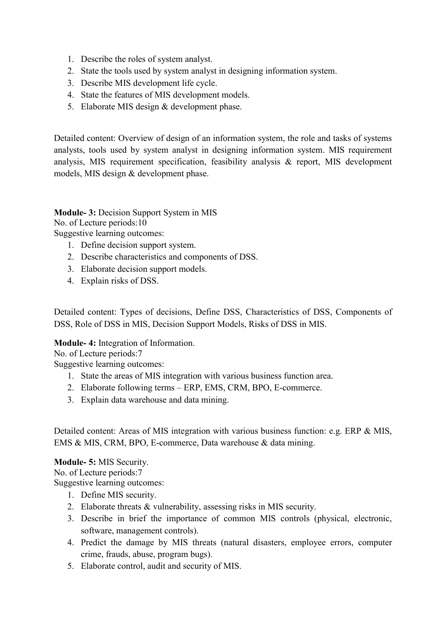- 1. Describe the roles of system analyst.
- 2. State the tools used by system analyst in designing information system.
- 3. Describe MIS development life cycle.
- 4. State the features of MIS development models.
- 5. Elaborate MIS design & development phase.

Detailed content: Overview of design of an information system, the role and tasks of systems analysts, tools used by system analyst in designing information system. MIS requirement analysis, MIS requirement specification, feasibility analysis & report, MIS development models, MIS design & development phase.

### Module- 3: Decision Support System in MIS

No. of Lecture periods:10

Suggestive learning outcomes:

- 1. Define decision support system.
- 2. Describe characteristics and components of DSS.
- 3. Elaborate decision support models.
- 4. Explain risks of DSS.

Detailed content: Types of decisions, Define DSS, Characteristics of DSS, Components of DSS, Role of DSS in MIS, Decision Support Models, Risks of DSS in MIS.

### Module- 4: Integration of Information.

No. of Lecture periods:7

Suggestive learning outcomes:

- 1. State the areas of MIS integration with various business function area.
- 2. Elaborate following terms ERP, EMS, CRM, BPO, E-commerce.
- 3. Explain data warehouse and data mining.

Detailed content: Areas of MIS integration with various business function: e.g. ERP & MIS, EMS & MIS, CRM, BPO, E-commerce, Data warehouse & data mining.

### Module- 5: MIS Security.

No. of Lecture periods:7

Suggestive learning outcomes:

- 1. Define MIS security.
- 2. Elaborate threats & vulnerability, assessing risks in MIS security.
- 3. Describe in brief the importance of common MIS controls (physical, electronic, software, management controls).
- 4. Predict the damage by MIS threats (natural disasters, employee errors, computer crime, frauds, abuse, program bugs).
- 5. Elaborate control, audit and security of MIS.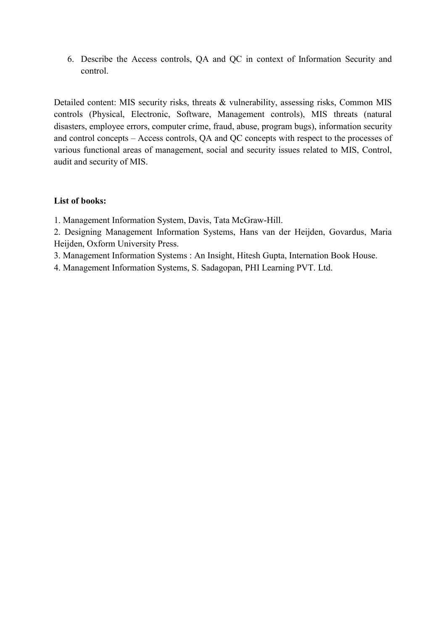6. Describe the Access controls, QA and QC in context of Information Security and control.

Detailed content: MIS security risks, threats & vulnerability, assessing risks, Common MIS controls (Physical, Electronic, Software, Management controls), MIS threats (natural disasters, employee errors, computer crime, fraud, abuse, program bugs), information security and control concepts – Access controls, QA and QC concepts with respect to the processes of various functional areas of management, social and security issues related to MIS, Control, audit and security of MIS.

### List of books:

1. Management Information System, Davis, Tata McGraw-Hill.

2. Designing Management Information Systems, Hans van der Heijden, Govardus, Maria Heijden, Oxform University Press.

- 3. Management Information Systems : An Insight, Hitesh Gupta, Internation Book House.
- 4. Management Information Systems, S. Sadagopan, PHI Learning PVT. Ltd.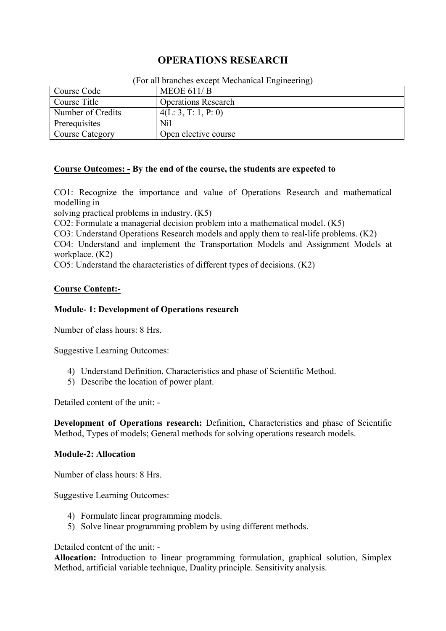## OPERATIONS RESEARCH

| Course Code       | MEOE $611/B$               |  |
|-------------------|----------------------------|--|
| Course Title      | <b>Operations Research</b> |  |
| Number of Credits | 4(L: 3, T: 1, P: 0)        |  |
| Prerequisites     | <b>Nil</b>                 |  |
| Course Category   | Open elective course       |  |

#### (For all branches except Mechanical Engineering)

### Course Outcomes: - By the end of the course, the students are expected to

CO1: Recognize the importance and value of Operations Research and mathematical modelling in

solving practical problems in industry. (K5)

CO2: Formulate a managerial decision problem into a mathematical model. (K5)

CO3: Understand Operations Research models and apply them to real-life problems. (K2)

CO4: Understand and implement the Transportation Models and Assignment Models at workplace. (K2)

CO5: Understand the characteristics of different types of decisions. (K2)

### Course Content:-

### Module- 1: Development of Operations research

Number of class hours: 8 Hrs.

Suggestive Learning Outcomes:

- 4) Understand Definition, Characteristics and phase of Scientific Method.
- 5) Describe the location of power plant.

Detailed content of the unit: -

Development of Operations research: Definition, Characteristics and phase of Scientific Method, Types of models; General methods for solving operations research models.

#### Module-2: Allocation

Number of class hours: 8 Hrs.

Suggestive Learning Outcomes:

- 4) Formulate linear programming models.
- 5) Solve linear programming problem by using different methods.

Detailed content of the unit: -

Allocation: Introduction to linear programming formulation, graphical solution, Simplex Method, artificial variable technique, Duality principle. Sensitivity analysis.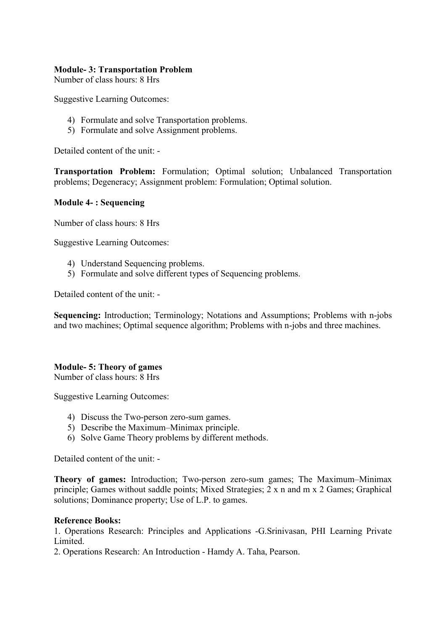#### Module- 3: Transportation Problem

Number of class hours: 8 Hrs

Suggestive Learning Outcomes:

- 4) Formulate and solve Transportation problems.
- 5) Formulate and solve Assignment problems.

Detailed content of the unit: -

Transportation Problem: Formulation; Optimal solution; Unbalanced Transportation problems; Degeneracy; Assignment problem: Formulation; Optimal solution.

### Module 4- : Sequencing

Number of class hours: 8 Hrs

Suggestive Learning Outcomes:

- 4) Understand Sequencing problems.
- 5) Formulate and solve different types of Sequencing problems.

Detailed content of the unit: -

Sequencing: Introduction; Terminology; Notations and Assumptions; Problems with n-jobs and two machines; Optimal sequence algorithm; Problems with n-jobs and three machines.

### Module- 5: Theory of games

Number of class hours: 8 Hrs

Suggestive Learning Outcomes:

- 4) Discuss the Two-person zero-sum games.
- 5) Describe the Maximum–Minimax principle.
- 6) Solve Game Theory problems by different methods.

Detailed content of the unit: -

Theory of games: Introduction; Two-person zero-sum games; The Maximum–Minimax principle; Games without saddle points; Mixed Strategies; 2 x n and m x 2 Games; Graphical solutions; Dominance property; Use of L.P. to games.

#### Reference Books:

1. Operations Research: Principles and Applications -G.Srinivasan, PHI Learning Private Limited.

2. Operations Research: An Introduction - Hamdy A. Taha, Pearson.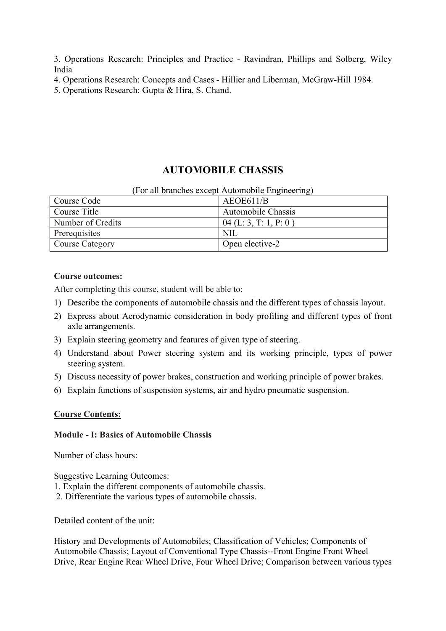3. Operations Research: Principles and Practice - Ravindran, Phillips and Solberg, Wiley India

- 4. Operations Research: Concepts and Cases Hillier and Liberman, McGraw-Hill 1984.
- 5. Operations Research: Gupta & Hira, S. Chand.

## AUTOMOBILE CHASSIS

#### (For all branches except Automobile Engineering)

| Course Code       | AEOE611/B                 |
|-------------------|---------------------------|
| Course Title      | <b>Automobile Chassis</b> |
| Number of Credits | $04$ (L: 3, T: 1, P: 0)   |
| Prerequisites     | NIL                       |
| Course Category   | Open elective-2           |

### Course outcomes:

After completing this course, student will be able to:

- 1) Describe the components of automobile chassis and the different types of chassis layout.
- 2) Express about Aerodynamic consideration in body profiling and different types of front axle arrangements.
- 3) Explain steering geometry and features of given type of steering.
- 4) Understand about Power steering system and its working principle, types of power steering system.
- 5) Discuss necessity of power brakes, construction and working principle of power brakes.
- 6) Explain functions of suspension systems, air and hydro pneumatic suspension.

#### Course Contents:

### Module - I: Basics of Automobile Chassis

Number of class hours:

Suggestive Learning Outcomes:

- 1. Explain the different components of automobile chassis.
- 2. Differentiate the various types of automobile chassis.

Detailed content of the unit:

History and Developments of Automobiles; Classification of Vehicles; Components of Automobile Chassis; Layout of Conventional Type Chassis--Front Engine Front Wheel Drive, Rear Engine Rear Wheel Drive, Four Wheel Drive; Comparison between various types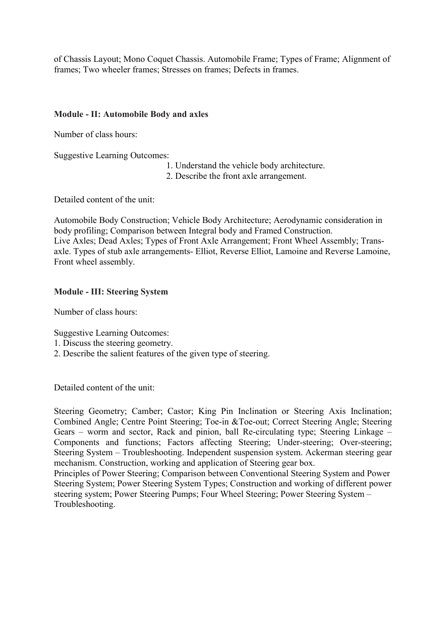of Chassis Layout; Mono Coquet Chassis. Automobile Frame; Types of Frame; Alignment of frames; Two wheeler frames; Stresses on frames; Defects in frames.

### Module - II: Automobile Body and axles

Number of class hours:

Suggestive Learning Outcomes:

- 1. Understand the vehicle body architecture.
- 2. Describe the front axle arrangement.

Detailed content of the unit:

Automobile Body Construction; Vehicle Body Architecture; Aerodynamic consideration in body profiling; Comparison between Integral body and Framed Construction. Live Axles; Dead Axles; Types of Front Axle Arrangement; Front Wheel Assembly; Transaxle. Types of stub axle arrangements- Elliot, Reverse Elliot, Lamoine and Reverse Lamoine, Front wheel assembly.

### Module - III: Steering System

Number of class hours:

Suggestive Learning Outcomes:

- 1. Discuss the steering geometry.
- 2. Describe the salient features of the given type of steering.

Detailed content of the unit:

Steering Geometry; Camber; Castor; King Pin Inclination or Steering Axis Inclination; Combined Angle; Centre Point Steering; Toe-in &Toe-out; Correct Steering Angle; Steering Gears – worm and sector, Rack and pinion, ball Re-circulating type; Steering Linkage – Components and functions; Factors affecting Steering; Under-steering; Over-steering; Steering System – Troubleshooting. Independent suspension system. Ackerman steering gear mechanism. Construction, working and application of Steering gear box.

Principles of Power Steering; Comparison between Conventional Steering System and Power Steering System; Power Steering System Types; Construction and working of different power steering system; Power Steering Pumps; Four Wheel Steering; Power Steering System – Troubleshooting.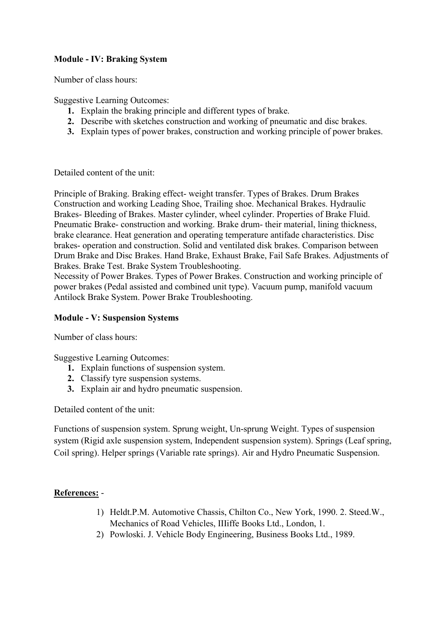### Module - IV: Braking System

Number of class hours:

Suggestive Learning Outcomes:

- 1. Explain the braking principle and different types of brake.
- 2. Describe with sketches construction and working of pneumatic and disc brakes.
- 3. Explain types of power brakes, construction and working principle of power brakes.

Detailed content of the unit:

Principle of Braking. Braking effect- weight transfer. Types of Brakes. Drum Brakes Construction and working Leading Shoe, Trailing shoe. Mechanical Brakes. Hydraulic Brakes- Bleeding of Brakes. Master cylinder, wheel cylinder. Properties of Brake Fluid. Pneumatic Brake- construction and working. Brake drum- their material, lining thickness, brake clearance. Heat generation and operating temperature antifade characteristics. Disc brakes- operation and construction. Solid and ventilated disk brakes. Comparison between Drum Brake and Disc Brakes. Hand Brake, Exhaust Brake, Fail Safe Brakes. Adjustments of Brakes. Brake Test. Brake System Troubleshooting.

Necessity of Power Brakes. Types of Power Brakes. Construction and working principle of power brakes (Pedal assisted and combined unit type). Vacuum pump, manifold vacuum Antilock Brake System. Power Brake Troubleshooting.

#### Module - V: Suspension Systems

Number of class hours:

Suggestive Learning Outcomes:

- 1. Explain functions of suspension system.
- 2. Classify tyre suspension systems.
- 3. Explain air and hydro pneumatic suspension.

Detailed content of the unit:

Functions of suspension system. Sprung weight, Un-sprung Weight. Types of suspension system (Rigid axle suspension system, Independent suspension system). Springs (Leaf spring, Coil spring). Helper springs (Variable rate springs). Air and Hydro Pneumatic Suspension.

### References: -

- 1) Heldt.P.M. Automotive Chassis, Chilton Co., New York, 1990. 2. Steed.W., Mechanics of Road Vehicles, IIIiffe Books Ltd., London, 1.
- 2) Powloski. J. Vehicle Body Engineering, Business Books Ltd., 1989.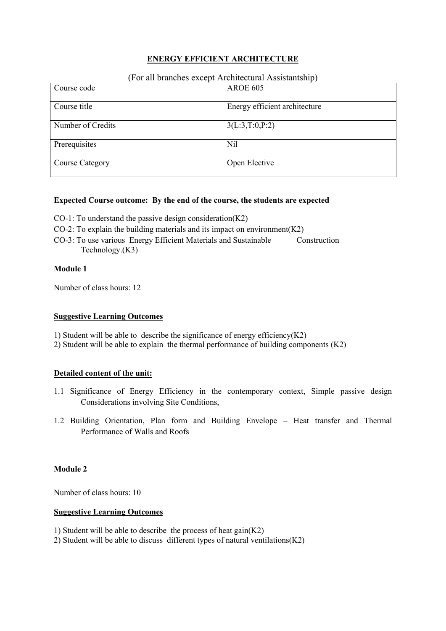### ENERGY EFFICIENT ARCHITECTURE

#### (For all branches except Architectural Assistantship)

| Course code            | <b>AROE 605</b>               |
|------------------------|-------------------------------|
|                        |                               |
| Course title           | Energy efficient architecture |
|                        |                               |
| Number of Credits      | 3(L:3,T:0,P:2)                |
|                        |                               |
| Prerequisites          | Nil                           |
|                        |                               |
| <b>Course Category</b> | Open Elective                 |
|                        |                               |

#### Expected Course outcome: By the end of the course, the students are expected

- CO-1: To understand the passive design consideration $(K2)$
- CO-2: To explain the building materials and its impact on environment $(K2)$
- CO-3: To use various Energy Efficient Materials and Sustainable Construction Technology.(K3)

#### Module 1

Number of class hours: 12

#### Suggestive Learning Outcomes

- 1) Student will be able to describe the significance of energy efficiency $(K2)$
- 2) Student will be able to explain the thermal performance of building components (K2)

#### Detailed content of the unit:

- 1.1 Significance of Energy Efficiency in the contemporary context, Simple passive design Considerations involving Site Conditions,
- 1.2 Building Orientation, Plan form and Building Envelope Heat transfer and Thermal Performance of Walls and Roofs

#### Module 2

Number of class hours: 10

#### Suggestive Learning Outcomes

1) Student will be able to describe the process of heat gain(K2)

2) Student will be able to discuss different types of natural ventilations(K2)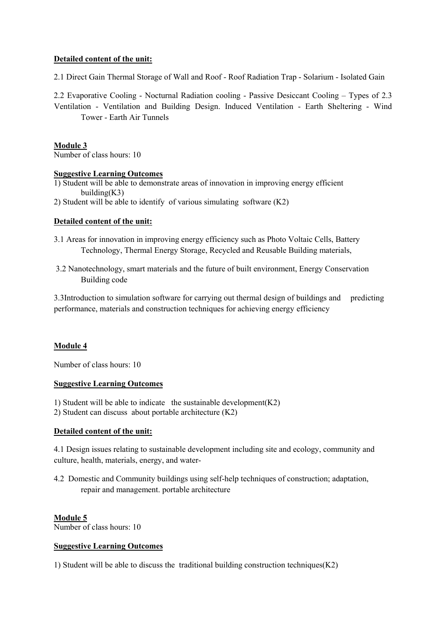#### Detailed content of the unit:

2.1 Direct Gain Thermal Storage of Wall and Roof - Roof Radiation Trap - Solarium - Isolated Gain

2.2 Evaporative Cooling - Nocturnal Radiation cooling - Passive Desiccant Cooling – Types of 2.3 Ventilation - Ventilation and Building Design. Induced Ventilation - Earth Sheltering - Wind Tower - Earth Air Tunnels

#### Module 3

Number of class hours: 10

#### Suggestive Learning Outcomes

- 1) Student will be able to demonstrate areas of innovation in improving energy efficient building(K3)
- 2) Student will be able to identify of various simulating software (K2)

#### Detailed content of the unit:

- 3.1 Areas for innovation in improving energy efficiency such as Photo Voltaic Cells, Battery Technology, Thermal Energy Storage, Recycled and Reusable Building materials,
- 3.2 Nanotechnology, smart materials and the future of built environment, Energy Conservation Building code

3.3Introduction to simulation software for carrying out thermal design of buildings and predicting performance, materials and construction techniques for achieving energy efficiency

#### Module 4

Number of class hours: 10

#### Suggestive Learning Outcomes

1) Student will be able to indicate the sustainable development  $(K2)$ 

2) Student can discuss about portable architecture (K2)

#### Detailed content of the unit:

4.1 Design issues relating to sustainable development including site and ecology, community and culture, health, materials, energy, and water-

4.2 Domestic and Community buildings using self-help techniques of construction; adaptation, repair and management. portable architecture

#### Module 5

Number of class hours: 10

#### Suggestive Learning Outcomes

1) Student will be able to discuss the traditional building construction techniques(K2)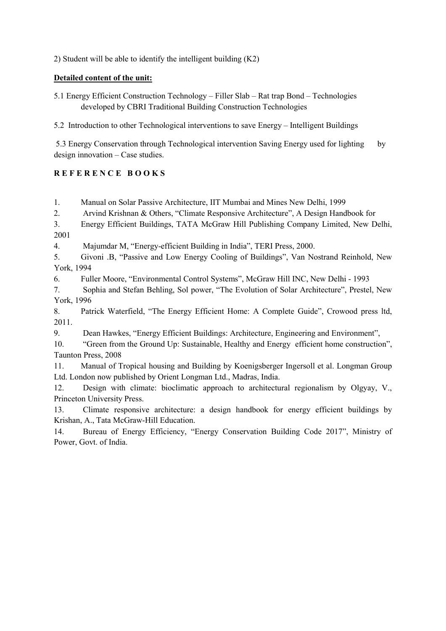2) Student will be able to identify the intelligent building (K2)

### Detailed content of the unit:

5.1 Energy Efficient Construction Technology – Filler Slab – Rat trap Bond – Technologies developed by CBRI Traditional Building Construction Technologies

5.2 Introduction to other Technological interventions to save Energy – Intelligent Buildings

5.3 Energy Conservation through Technological intervention Saving Energy used for lighting by design innovation – Case studies.

### REFERENCE BOOKS

1. Manual on Solar Passive Architecture, IIT Mumbai and Mines New Delhi, 1999

2. Arvind Krishnan & Others, "Climate Responsive Architecture", A Design Handbook for

3. Energy Efficient Buildings, TATA McGraw Hill Publishing Company Limited, New Delhi, 2001

4. Majumdar M, "Energy-efficient Building in India", TERI Press, 2000.

5. Givoni .B, "Passive and Low Energy Cooling of Buildings", Van Nostrand Reinhold, New York, 1994

6. Fuller Moore, "Environmental Control Systems", McGraw Hill INC, New Delhi - 1993

7. Sophia and Stefan Behling, Sol power, "The Evolution of Solar Architecture", Prestel, New York, 1996

8. Patrick Waterfield, "The Energy Efficient Home: A Complete Guide", Crowood press ltd, 2011.

9. Dean Hawkes, "Energy Efficient Buildings: Architecture, Engineering and Environment",

10. "Green from the Ground Up: Sustainable, Healthy and Energy efficient home construction", Taunton Press, 2008

11. Manual of Tropical housing and Building by Koenigsberger Ingersoll et al. Longman Group Ltd. London now published by Orient Longman Ltd., Madras, India.

12. Design with climate: bioclimatic approach to architectural regionalism by Olgyay, V., Princeton University Press.

13. Climate responsive architecture: a design handbook for energy efficient buildings by Krishan, A., Tata McGraw-Hill Education.

14. Bureau of Energy Efficiency, "Energy Conservation Building Code 2017", Ministry of Power, Govt. of India.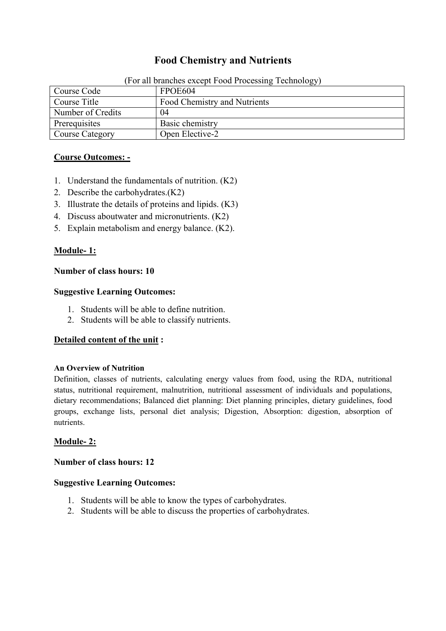## Food Chemistry and Nutrients

| $\frac{1}{2}$ of an oranomes encept 1 con 11000000000 $\frac{1}{2}$ |                              |  |
|---------------------------------------------------------------------|------------------------------|--|
| Course Code                                                         | FPOE604                      |  |
| Course Title                                                        | Food Chemistry and Nutrients |  |
| Number of Credits                                                   | 04                           |  |
| Prerequisites                                                       | Basic chemistry              |  |
| Course Category                                                     | Open Elective-2              |  |

(For all branches except Food Processing Technology)

### Course Outcomes: -

- 1. Understand the fundamentals of nutrition. (K2)
- 2. Describe the carbohydrates.(K2)
- 3. Illustrate the details of proteins and lipids. (K3)
- 4. Discuss aboutwater and micronutrients. (K2)
- 5. Explain metabolism and energy balance. (K2).

### Module- 1:

#### Number of class hours: 10

#### Suggestive Learning Outcomes:

- 1. Students will be able to define nutrition.
- 2. Students will be able to classify nutrients.

#### Detailed content of the unit :

#### An Overview of Nutrition

Definition, classes of nutrients, calculating energy values from food, using the RDA, nutritional status, nutritional requirement, malnutrition, nutritional assessment of individuals and populations, dietary recommendations; Balanced diet planning: Diet planning principles, dietary guidelines, food groups, exchange lists, personal diet analysis; Digestion, Absorption: digestion, absorption of nutrients.

#### Module- 2:

#### Number of class hours: 12

#### Suggestive Learning Outcomes:

- 1. Students will be able to know the types of carbohydrates.
- 2. Students will be able to discuss the properties of carbohydrates.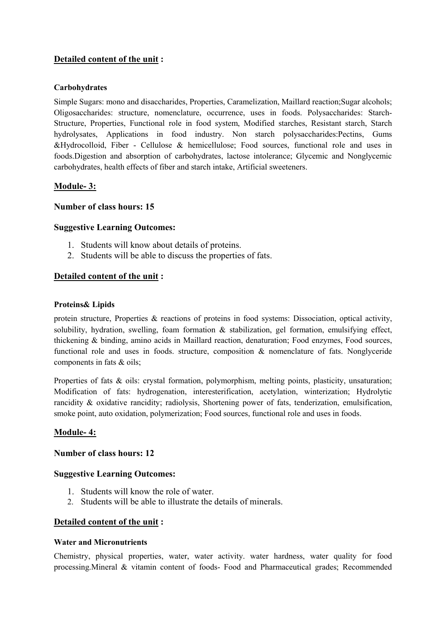### Detailed content of the unit :

#### Carbohydrates

Simple Sugars: mono and disaccharides, Properties, Caramelization, Maillard reaction;Sugar alcohols; Oligosaccharides: structure, nomenclature, occurrence, uses in foods. Polysaccharides: Starch-Structure, Properties, Functional role in food system, Modified starches, Resistant starch, Starch hydrolysates, Applications in food industry. Non starch polysaccharides:Pectins, Gums &Hydrocolloid, Fiber - Cellulose & hemicellulose; Food sources, functional role and uses in foods.Digestion and absorption of carbohydrates, lactose intolerance; Glycemic and Nonglycemic carbohydrates, health effects of fiber and starch intake, Artificial sweeteners.

#### Module- 3:

#### Number of class hours: 15

#### Suggestive Learning Outcomes:

- 1. Students will know about details of proteins.
- 2. Students will be able to discuss the properties of fats.

#### Detailed content of the unit :

#### Proteins& Lipids

protein structure, Properties & reactions of proteins in food systems: Dissociation, optical activity, solubility, hydration, swelling, foam formation & stabilization, gel formation, emulsifying effect, thickening & binding, amino acids in Maillard reaction, denaturation; Food enzymes, Food sources, functional role and uses in foods. structure, composition & nomenclature of fats. Nonglyceride components in fats & oils;

Properties of fats & oils: crystal formation, polymorphism, melting points, plasticity, unsaturation; Modification of fats: hydrogenation, interesterification, acetylation, winterization; Hydrolytic rancidity & oxidative rancidity; radiolysis, Shortening power of fats, tenderization, emulsification, smoke point, auto oxidation, polymerization; Food sources, functional role and uses in foods.

#### Module- 4:

#### Number of class hours: 12

#### Suggestive Learning Outcomes:

- 1. Students will know the role of water.
- 2. Students will be able to illustrate the details of minerals.

#### Detailed content of the unit :

#### Water and Micronutrients

Chemistry, physical properties, water, water activity. water hardness, water quality for food processing.Mineral & vitamin content of foods- Food and Pharmaceutical grades; Recommended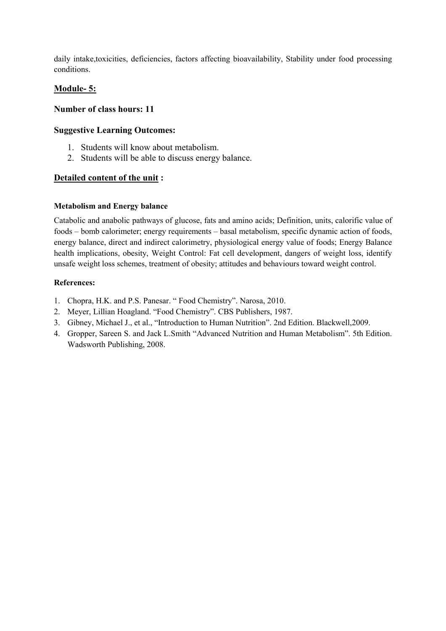daily intake,toxicities, deficiencies, factors affecting bioavailability, Stability under food processing conditions.

### Module- 5:

#### Number of class hours: 11

#### Suggestive Learning Outcomes:

- 1. Students will know about metabolism.
- 2. Students will be able to discuss energy balance.

#### Detailed content of the unit :

#### Metabolism and Energy balance

Catabolic and anabolic pathways of glucose, fats and amino acids; Definition, units, calorific value of foods – bomb calorimeter; energy requirements – basal metabolism, specific dynamic action of foods, energy balance, direct and indirect calorimetry, physiological energy value of foods; Energy Balance health implications, obesity, Weight Control: Fat cell development, dangers of weight loss, identify unsafe weight loss schemes, treatment of obesity; attitudes and behaviours toward weight control.

#### References:

- 1. Chopra, H.K. and P.S. Panesar. " Food Chemistry". Narosa, 2010.
- 2. Meyer, Lillian Hoagland. "Food Chemistry". CBS Publishers, 1987.
- 3. Gibney, Michael J., et al., "Introduction to Human Nutrition". 2nd Edition. Blackwell,2009.
- 4. Gropper, Sareen S. and Jack L.Smith "Advanced Nutrition and Human Metabolism". 5th Edition. Wadsworth Publishing, 2008.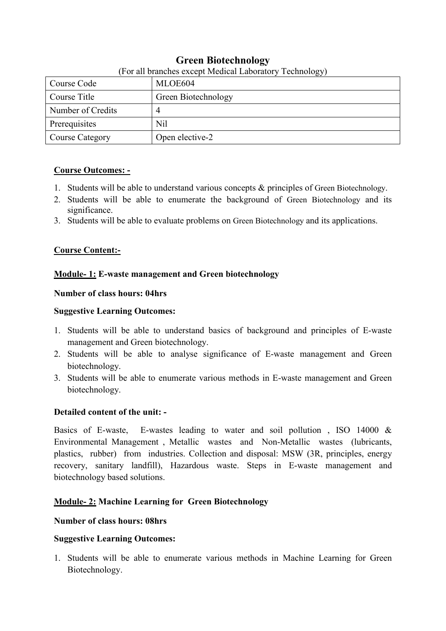| For all branches except Medical Laboratory Technology |                     |  |
|-------------------------------------------------------|---------------------|--|
| Course Code                                           | MLOE604             |  |
| Course Title                                          | Green Biotechnology |  |
| Number of Credits                                     | 4                   |  |
| Prerequisites                                         | <b>Nil</b>          |  |
| Course Category                                       | Open elective-2     |  |

## Green Biotechnology

## (For all branches except Medical Laboratory Technology)

### Course Outcomes: -

- 1. Students will be able to understand various concepts & principles of Green Biotechnology.
- 2. Students will be able to enumerate the background of Green Biotechnology and its significance.
- 3. Students will be able to evaluate problems on Green Biotechnology and its applications.

### Course Content:-

### Module- 1: E-waste management and Green biotechnology

### Number of class hours: 04hrs

### Suggestive Learning Outcomes:

- 1. Students will be able to understand basics of background and principles of E-waste management and Green biotechnology.
- 2. Students will be able to analyse significance of E-waste management and Green biotechnology.
- 3. Students will be able to enumerate various methods in E-waste management and Green biotechnology.

### Detailed content of the unit: -

Basics of E-waste, E-wastes leading to water and soil pollution , ISO 14000 & Environmental Management , Metallic wastes and Non-Metallic wastes (lubricants, plastics, rubber) from industries. Collection and disposal: MSW (3R, principles, energy recovery, sanitary landfill), Hazardous waste. Steps in E-waste management and biotechnology based solutions.

### Module- 2: Machine Learning for Green Biotechnology

### Number of class hours: 08hrs

### Suggestive Learning Outcomes:

1. Students will be able to enumerate various methods in Machine Learning for Green Biotechnology.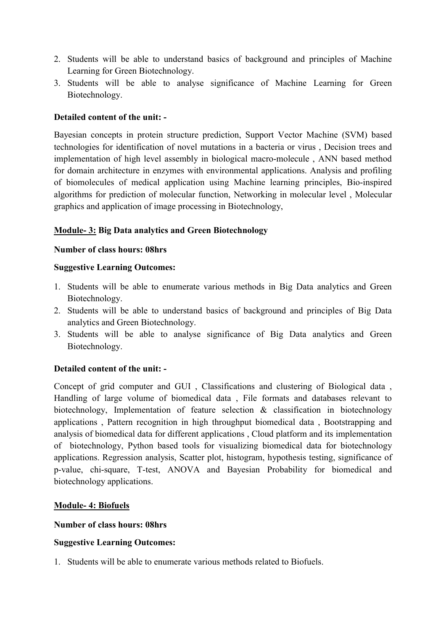- 2. Students will be able to understand basics of background and principles of Machine Learning for Green Biotechnology.
- 3. Students will be able to analyse significance of Machine Learning for Green Biotechnology.

### Detailed content of the unit: -

Bayesian concepts in protein structure prediction, Support Vector Machine (SVM) based technologies for identification of novel mutations in a bacteria or virus , Decision trees and implementation of high level assembly in biological macro-molecule , ANN based method for domain architecture in enzymes with environmental applications. Analysis and profiling of biomolecules of medical application using Machine learning principles, Bio-inspired algorithms for prediction of molecular function, Networking in molecular level , Molecular graphics and application of image processing in Biotechnology,

### Module- 3: Big Data analytics and Green Biotechnology

### Number of class hours: 08hrs

### Suggestive Learning Outcomes:

- 1. Students will be able to enumerate various methods in Big Data analytics and Green Biotechnology.
- 2. Students will be able to understand basics of background and principles of Big Data analytics and Green Biotechnology.
- 3. Students will be able to analyse significance of Big Data analytics and Green Biotechnology.

### Detailed content of the unit: -

Concept of grid computer and GUI , Classifications and clustering of Biological data , Handling of large volume of biomedical data , File formats and databases relevant to biotechnology, Implementation of feature selection & classification in biotechnology applications , Pattern recognition in high throughput biomedical data , Bootstrapping and analysis of biomedical data for different applications , Cloud platform and its implementation of biotechnology, Python based tools for visualizing biomedical data for biotechnology applications. Regression analysis, Scatter plot, histogram, hypothesis testing, significance of p-value, chi-square, T-test, ANOVA and Bayesian Probability for biomedical and biotechnology applications.

### Module- 4: Biofuels

#### Number of class hours: 08hrs

### Suggestive Learning Outcomes:

1. Students will be able to enumerate various methods related to Biofuels.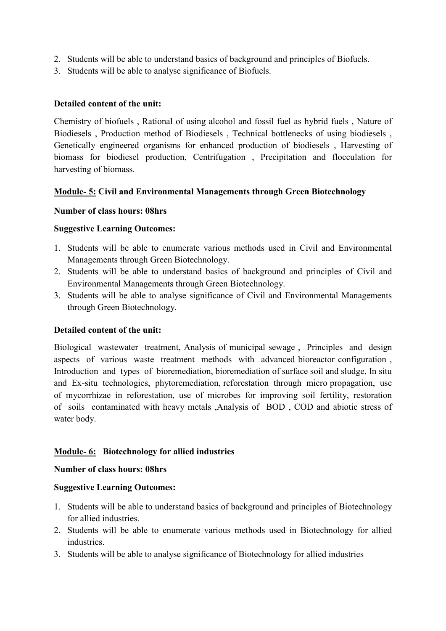- 2. Students will be able to understand basics of background and principles of Biofuels.
- 3. Students will be able to analyse significance of Biofuels.

### Detailed content of the unit:

Chemistry of biofuels , Rational of using alcohol and fossil fuel as hybrid fuels , Nature of Biodiesels , Production method of Biodiesels , Technical bottlenecks of using biodiesels , Genetically engineered organisms for enhanced production of biodiesels , Harvesting of biomass for biodiesel production, Centrifugation , Precipitation and flocculation for harvesting of biomass.

### Module- 5: Civil and Environmental Managements through Green Biotechnology

### Number of class hours: 08hrs

### Suggestive Learning Outcomes:

- 1. Students will be able to enumerate various methods used in Civil and Environmental Managements through Green Biotechnology.
- 2. Students will be able to understand basics of background and principles of Civil and Environmental Managements through Green Biotechnology.
- 3. Students will be able to analyse significance of Civil and Environmental Managements through Green Biotechnology.

### Detailed content of the unit:

Biological wastewater treatment, Analysis of municipal sewage , Principles and design aspects of various waste treatment methods with advanced bioreactor configuration , Introduction and types of bioremediation, bioremediation of surface soil and sludge, In situ and Ex-situ technologies, phytoremediation, reforestation through micro propagation, use of mycorrhizae in reforestation, use of microbes for improving soil fertility, restoration of soils contaminated with heavy metals ,Analysis of BOD , COD and abiotic stress of water body.

### Module- 6: Biotechnology for allied industries

#### Number of class hours: 08hrs

#### Suggestive Learning Outcomes:

- 1. Students will be able to understand basics of background and principles of Biotechnology for allied industries.
- 2. Students will be able to enumerate various methods used in Biotechnology for allied industries.
- 3. Students will be able to analyse significance of Biotechnology for allied industries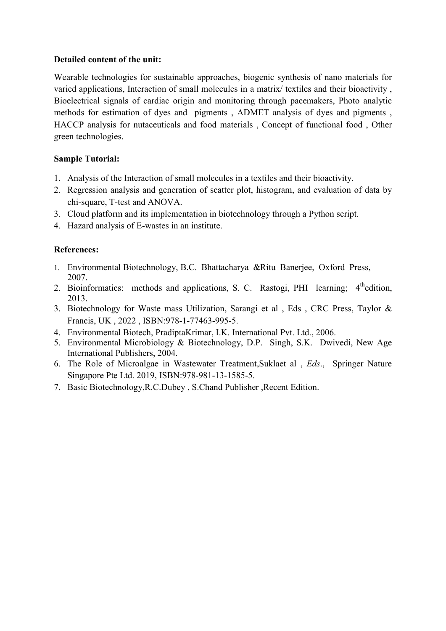### Detailed content of the unit:

Wearable technologies for sustainable approaches, biogenic synthesis of nano materials for varied applications, Interaction of small molecules in a matrix/ textiles and their bioactivity , Bioelectrical signals of cardiac origin and monitoring through pacemakers, Photo analytic methods for estimation of dyes and pigments , ADMET analysis of dyes and pigments , HACCP analysis for nutaceuticals and food materials , Concept of functional food , Other green technologies.

### Sample Tutorial:

- 1. Analysis of the Interaction of small molecules in a textiles and their bioactivity.
- 2. Regression analysis and generation of scatter plot, histogram, and evaluation of data by chi-square, T-test and ANOVA.
- 3. Cloud platform and its implementation in biotechnology through a Python script.
- 4. Hazard analysis of E-wastes in an institute.

### References:

- 1. Environmental Biotechnology, B.C. Bhattacharya &Ritu Banerjee, Oxford Press, 2007.
- 2. Bioinformatics: methods and applications, S. C. Rastogi, PHI learning; 4<sup>th</sup>edition, 2013.
- 3. Biotechnology for Waste mass Utilization, Sarangi et al , Eds , CRC Press, Taylor & Francis, UK , 2022 , ISBN:978-1-77463-995-5.
- 4. Environmental Biotech, PradiptaKrimar, I.K. International Pvt. Ltd., 2006.
- 5. Environmental Microbiology & Biotechnology, D.P. Singh, S.K. Dwivedi, New Age International Publishers, 2004.
- 6. The Role of Microalgae in Wastewater Treatment,Suklaet al , *Eds*., Springer Nature Singapore Pte Ltd. 2019, ISBN:978-981-13-1585-5.
- 7. Basic Biotechnology,R.C.Dubey , S.Chand Publisher ,Recent Edition.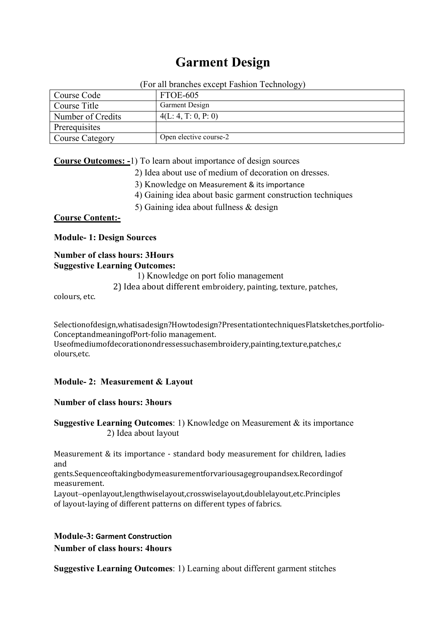# Garment Design

(For all branches except Fashion Technology)

|                        | $\tilde{ }$            |
|------------------------|------------------------|
| Course Code            | FTOE-605               |
| Course Title           | <b>Garment Design</b>  |
| Number of Credits      | 4(L: 4, T: 0, P: 0)    |
| Prerequisites          |                        |
| <b>Course Category</b> | Open elective course-2 |

Course Outcomes: -1) To learn about importance of design sources

- 2) Idea about use of medium of decoration on dresses.
- 3) Knowledge on Measurement & its importance
- 4) Gaining idea about basic garment construction techniques
- 5) Gaining idea about fullness & design

#### Course Content:-

Module- 1: Design Sources

#### Number of class hours: 3Hours Suggestive Learning Outcomes:

1) Knowledge on port folio management

2) Idea about different embroidery, painting, texture, patches,

colours, etc.

Selectionofdesign,whatisadesign?Howtodesign?PresentationtechniquesFlatsketches,portfolio-ConceptandmeaningofPort-folio management.

Useofmediumofdecorationondressessuchasembroidery,painting,texture,patches,c olours,etc.

#### Module- 2: Measurement & Layout

#### Number of class hours: 3hours

Suggestive Learning Outcomes: 1) Knowledge on Measurement & its importance 2) Idea about layout

Measurement & its importance - standard body measurement for children, ladies and

gents.Sequenceoftakingbodymeasurementforvariousagegroupandsex.Recordingof measurement.

Layout-openlayout,lengthwiselayout,crosswiselayout,doublelayout,etc.Principles of layout-laying of different patterns on different types of fabrics.

### Module-3: Garment Construction Number of class hours: 4hours

Suggestive Learning Outcomes: 1) Learning about different garment stitches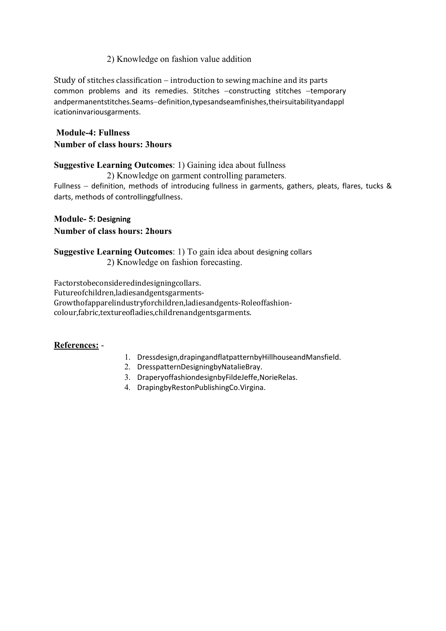### 2) Knowledge on fashion value addition

Study of stitches classification  $-$  introduction to sewing machine and its parts common problems and its remedies. Stitches -constructing stitches -temporary andpermanentstitches.Seams-definition,typesandseamfinishes,theirsuitabilityandappl icationinvariousgarments.

## Module-4: Fullness Number of class hours: 3hours

### Suggestive Learning Outcomes: 1) Gaining idea about fullness

 2) Knowledge on garment controlling parameters. Fullness – definition, methods of introducing fullness in garments, gathers, pleats, flares, tucks  $\&$ darts, methods of controllinggfullness.

## Module- 5: Designing

## Number of class hours: 2hours

Suggestive Learning Outcomes: 1) To gain idea about designing collars 2) Knowledge on fashion forecasting.

Factorstobeconsideredindesigningcollars. Futureofchildren,ladiesandgentsgarments-Growthofapparelindustryforchildren,ladiesandgents-Roleoffashioncolour,fabric,textureofladies,childrenandgentsgarments.

## References: -

- 1. Dressdesign,drapingandflatpatternbyHillhouseandMansfield.
- 2. DresspatternDesigningbyNatalieBray.
- 3. DraperyoffashiondesignbyFildeJeffe,NorieRelas.
- 4. DrapingbyRestonPublishingCo.Virgina.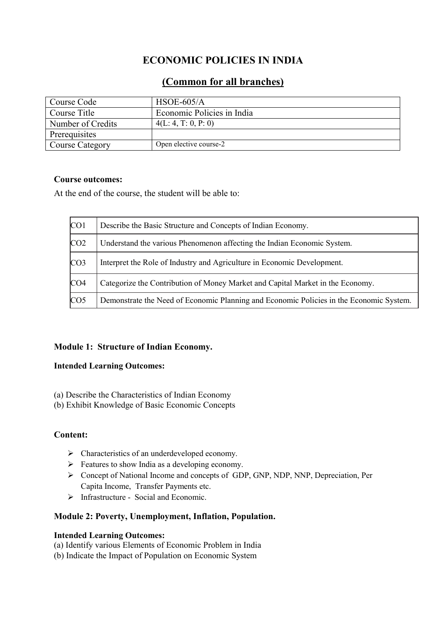# ECONOMIC POLICIES IN INDIA

## (Common for all branches)

| Course Code       | $HSOE-605/A$               |  |  |
|-------------------|----------------------------|--|--|
| Course Title      | Economic Policies in India |  |  |
| Number of Credits | 4(L: 4, T: 0, P: 0)        |  |  |
| Prerequisites     |                            |  |  |
| Course Category   | Open elective course-2     |  |  |

## Course outcomes:

At the end of the course, the student will be able to:

| CO <sub>1</sub> | Describe the Basic Structure and Concepts of Indian Economy.                            |
|-----------------|-----------------------------------------------------------------------------------------|
| CO <sub>2</sub> | Understand the various Phenomenon affecting the Indian Economic System.                 |
| CO <sub>3</sub> | Interpret the Role of Industry and Agriculture in Economic Development.                 |
| CO <sub>4</sub> | Categorize the Contribution of Money Market and Capital Market in the Economy.          |
| CO <sub>5</sub> | Demonstrate the Need of Economic Planning and Economic Policies in the Economic System. |

## Module 1: Structure of Indian Economy.

### Intended Learning Outcomes:

- (a) Describe the Characteristics of Indian Economy
- (b) Exhibit Knowledge of Basic Economic Concepts

## Content:

- $\triangleright$  Characteristics of an underdeveloped economy.
- $\triangleright$  Features to show India as a developing economy.
- Concept of National Income and concepts of GDP, GNP, NDP, NNP, Depreciation, Per Capita Income, Transfer Payments etc.
- > Infrastructure Social and Economic.

## Module 2: Poverty, Unemployment, Inflation, Population.

### Intended Learning Outcomes:

- (a) Identify various Elements of Economic Problem in India
- (b) Indicate the Impact of Population on Economic System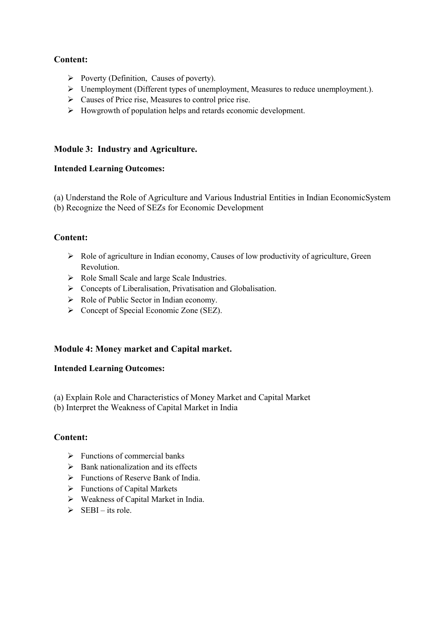## Content:

- $\triangleright$  Poverty (Definition, Causes of poverty).
- $\triangleright$  Unemployment (Different types of unemployment, Measures to reduce unemployment.).
- Causes of Price rise, Measures to control price rise.
- $\triangleright$  Howgrowth of population helps and retards economic development.

## Module 3: Industry and Agriculture.

## Intended Learning Outcomes:

(a) Understand the Role of Agriculture and Various Industrial Entities in Indian EconomicSystem

(b) Recognize the Need of SEZs for Economic Development

## Content:

- $\triangleright$  Role of agriculture in Indian economy, Causes of low productivity of agriculture, Green Revolution.
- Role Small Scale and large Scale Industries.
- Concepts of Liberalisation, Privatisation and Globalisation.
- $\triangleright$  Role of Public Sector in Indian economy.
- $\triangleright$  Concept of Special Economic Zone (SEZ).

## Module 4: Money market and Capital market.

### Intended Learning Outcomes:

- (a) Explain Role and Characteristics of Money Market and Capital Market
- (b) Interpret the Weakness of Capital Market in India

### Content:

- $\triangleright$  Functions of commercial banks
- $\triangleright$  Bank nationalization and its effects
- $\triangleright$  Functions of Reserve Bank of India.
- $\triangleright$  Functions of Capital Markets
- $\triangleright$  Weakness of Capital Market in India.
- $\triangleright$  SEBI its role.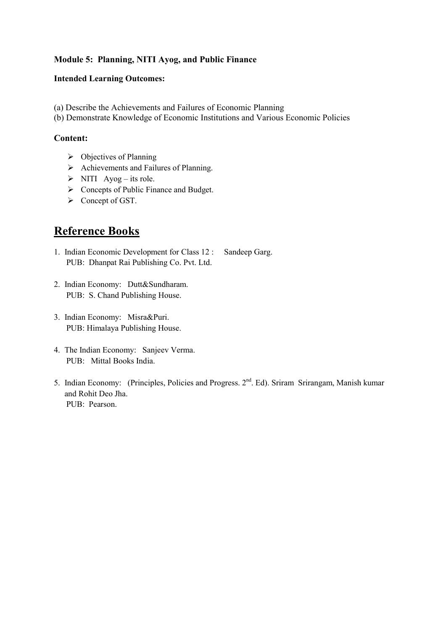## Module 5: Planning, NITI Ayog, and Public Finance

### Intended Learning Outcomes:

- (a) Describe the Achievements and Failures of Economic Planning
- (b) Demonstrate Knowledge of Economic Institutions and Various Economic Policies

### Content:

- $\triangleright$  Objectives of Planning
- $\triangleright$  Achievements and Failures of Planning.
- $\triangleright$  NITI Ayog its role.
- $\triangleright$  Concepts of Public Finance and Budget.
- $\triangleright$  Concept of GST.

# Reference Books

- 1. Indian Economic Development for Class 12 : Sandeep Garg. PUB: Dhanpat Rai Publishing Co. Pvt. Ltd.
- 2. Indian Economy: Dutt&Sundharam. PUB: S. Chand Publishing House.
- 3. Indian Economy: Misra&Puri. PUB: Himalaya Publishing House.
- 4. The Indian Economy: Sanjeev Verma. PUB: Mittal Books India.
- 5. Indian Economy: (Principles, Policies and Progress. 2<sup>nd</sup>. Ed). Sriram Srirangam, Manish kumar and Rohit Deo Jha. PUB: Pearson.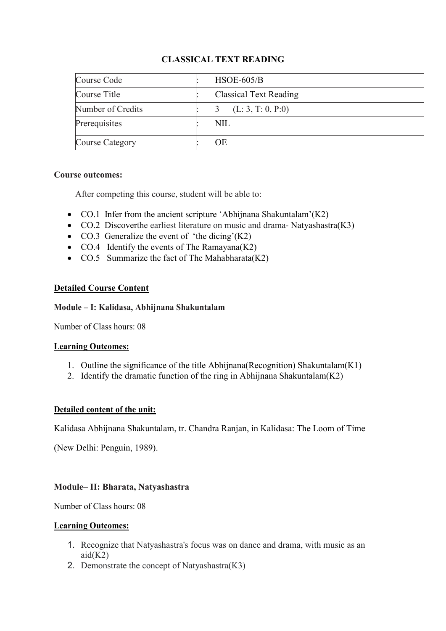## CLASSICAL TEXT READING

| Course Code       | $HSOE-605/B$           |
|-------------------|------------------------|
| Course Title      | Classical Text Reading |
| Number of Credits | (L: 3, T: 0, P: 0)     |
| Prerequisites     | NIL                    |
| Course Category   | ЮE                     |

### Course outcomes:

After competing this course, student will be able to:

- CO.1 Infer from the ancient scripture 'Abhijnana Shakuntalam'(K2)
- CO.2 Discoverthe earliest literature on music and drama-Natyashastra(K3)
- $CO.3$  Generalize the event of 'the dicing'(K2)
- CO.4 Identify the events of The Ramayana $(K2)$
- CO.5 Summarize the fact of The Mahabharata(K2)

## Detailed Course Content

### Module – I: Kalidasa, Abhijnana Shakuntalam

Number of Class hours: 08

### Learning Outcomes:

- 1. Outline the significance of the title Abhiinana (Recognition) Shakuntalam  $(K1)$
- 2. Identify the dramatic function of the ring in Abhijnana Shakuntalam $(K2)$

## Detailed content of the unit:

Kalidasa Abhijnana Shakuntalam, tr. Chandra Ranjan, in Kalidasa: The Loom of Time

(New Delhi: Penguin, 1989).

## Module– II: Bharata, Natyashastra

Number of Class hours: 08

### Learning Outcomes:

- 1. Recognize that Natyashastra's focus was on dance and drama, with music as an  $aid(K2)$
- 2. Demonstrate the concept of Natyashastra(K3)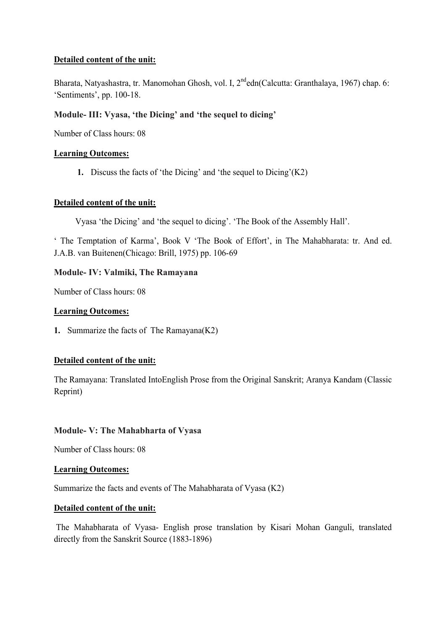## Detailed content of the unit:

Bharata, Natyashastra, tr. Manomohan Ghosh, vol. I, 2<sup>nd</sup>edn(Calcutta: Granthalaya, 1967) chap. 6: 'Sentiments', pp. 100-18.

## Module- III: Vyasa, 'the Dicing' and 'the sequel to dicing'

Number of Class hours: 08

### Learning Outcomes:

1. Discuss the facts of 'the Dicing' and 'the sequel to  $Dicing'(K2)$ 

### Detailed content of the unit:

Vyasa 'the Dicing' and 'the sequel to dicing'. 'The Book of the Assembly Hall'.

' The Temptation of Karma', Book V 'The Book of Effort', in The Mahabharata: tr. And ed. J.A.B. van Buitenen(Chicago: Brill, 1975) pp. 106-69

### Module- IV: Valmiki, The Ramayana

Number of Class hours: 08

### Learning Outcomes:

1. Summarize the facts of The Ramayana(K2)

### Detailed content of the unit:

The Ramayana: Translated IntoEnglish Prose from the Original Sanskrit; Aranya Kandam (Classic Reprint)

### Module- V: The Mahabharta of Vyasa

Number of Class hours: 08

### Learning Outcomes:

Summarize the facts and events of The Mahabharata of Vyasa (K2)

### Detailed content of the unit:

The Mahabharata of Vyasa- English prose translation by Kisari Mohan Ganguli, translated directly from the Sanskrit Source (1883-1896)